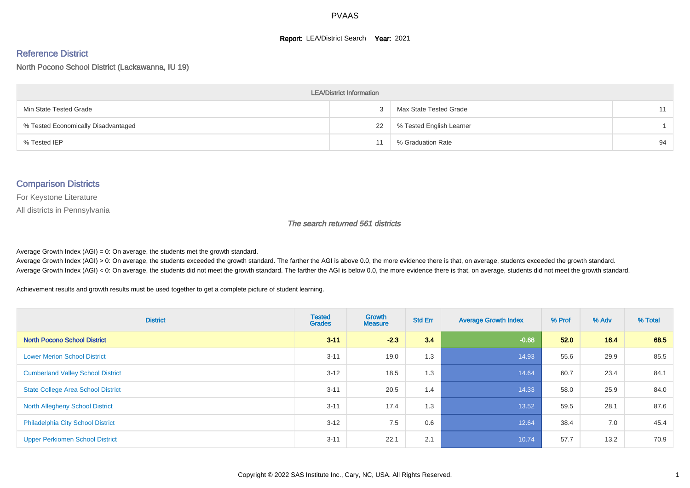#### **Report: LEA/District Search Year: 2021**

# Reference District

North Pocono School District (Lackawanna, IU 19)

| <b>LEA/District Information</b>     |    |                          |    |  |  |  |  |  |  |
|-------------------------------------|----|--------------------------|----|--|--|--|--|--|--|
| Min State Tested Grade              |    | Max State Tested Grade   | 11 |  |  |  |  |  |  |
| % Tested Economically Disadvantaged | 22 | % Tested English Learner |    |  |  |  |  |  |  |
| % Tested IEP                        |    | % Graduation Rate        | 94 |  |  |  |  |  |  |

#### Comparison Districts

For Keystone Literature

All districts in Pennsylvania

The search returned 561 districts

Average Growth Index  $(AGI) = 0$ : On average, the students met the growth standard.

Average Growth Index (AGI) > 0: On average, the students exceeded the growth standard. The farther the AGI is above 0.0, the more evidence there is that, on average, students exceeded the growth standard. Average Growth Index (AGI) < 0: On average, the students did not meet the growth standard. The farther the AGI is below 0.0, the more evidence there is that, on average, students did not meet the growth standard.

Achievement results and growth results must be used together to get a complete picture of student learning.

| <b>District</b>                           | <b>Tested</b><br><b>Grades</b> | Growth<br><b>Measure</b> | <b>Std Err</b> | <b>Average Growth Index</b> | % Prof | % Adv | % Total |
|-------------------------------------------|--------------------------------|--------------------------|----------------|-----------------------------|--------|-------|---------|
| <b>North Pocono School District</b>       | $3 - 11$                       | $-2.3$                   | 3.4            | $-0.68$                     | 52.0   | 16.4  | 68.5    |
| <b>Lower Merion School District</b>       | $3 - 11$                       | 19.0                     | 1.3            | 14.93                       | 55.6   | 29.9  | 85.5    |
| <b>Cumberland Valley School District</b>  | $3 - 12$                       | 18.5                     | 1.3            | 14.64                       | 60.7   | 23.4  | 84.1    |
| <b>State College Area School District</b> | $3 - 11$                       | 20.5                     | 1.4            | 14.33                       | 58.0   | 25.9  | 84.0    |
| <b>North Allegheny School District</b>    | $3 - 11$                       | 17.4                     | 1.3            | 13.52                       | 59.5   | 28.1  | 87.6    |
| <b>Philadelphia City School District</b>  | $3 - 12$                       | 7.5                      | 0.6            | 12.64                       | 38.4   | 7.0   | 45.4    |
| <b>Upper Perkiomen School District</b>    | $3 - 11$                       | 22.1                     | 2.1            | 10.74                       | 57.7   | 13.2  | 70.9    |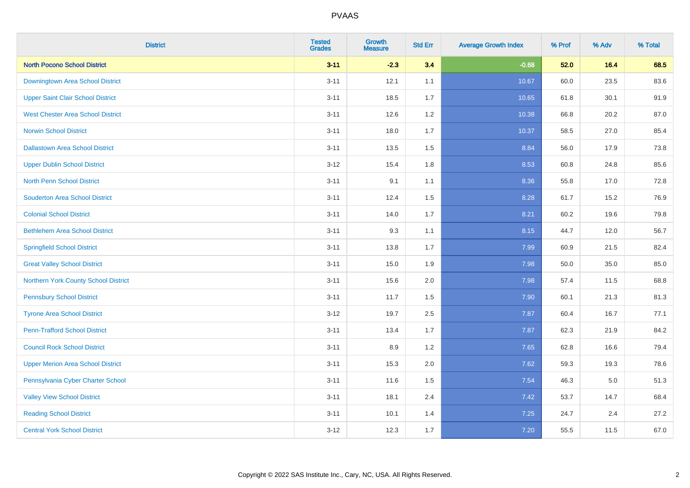| <b>District</b>                          | <b>Tested</b><br><b>Grades</b> | Growth<br><b>Measure</b> | <b>Std Err</b> | <b>Average Growth Index</b> | % Prof | % Adv | % Total |
|------------------------------------------|--------------------------------|--------------------------|----------------|-----------------------------|--------|-------|---------|
| <b>North Pocono School District</b>      | $3 - 11$                       | $-2.3$                   | 3.4            | $-0.68$                     | 52.0   | 16.4  | 68.5    |
| Downingtown Area School District         | $3 - 11$                       | 12.1                     | 1.1            | 10.67                       | 60.0   | 23.5  | 83.6    |
| <b>Upper Saint Clair School District</b> | $3 - 11$                       | 18.5                     | 1.7            | 10.65                       | 61.8   | 30.1  | 91.9    |
| <b>West Chester Area School District</b> | $3 - 11$                       | 12.6                     | $1.2\,$        | 10.38                       | 66.8   | 20.2  | 87.0    |
| <b>Norwin School District</b>            | $3 - 11$                       | 18.0                     | 1.7            | 10.37                       | 58.5   | 27.0  | 85.4    |
| <b>Dallastown Area School District</b>   | $3 - 11$                       | 13.5                     | 1.5            | 8.84                        | 56.0   | 17.9  | 73.8    |
| <b>Upper Dublin School District</b>      | $3 - 12$                       | 15.4                     | 1.8            | 8.53                        | 60.8   | 24.8  | 85.6    |
| <b>North Penn School District</b>        | $3 - 11$                       | 9.1                      | 1.1            | 8.36                        | 55.8   | 17.0  | 72.8    |
| <b>Souderton Area School District</b>    | $3 - 11$                       | 12.4                     | 1.5            | 8.28                        | 61.7   | 15.2  | 76.9    |
| <b>Colonial School District</b>          | $3 - 11$                       | 14.0                     | 1.7            | 8.21                        | 60.2   | 19.6  | 79.8    |
| <b>Bethlehem Area School District</b>    | $3 - 11$                       | 9.3                      | 1.1            | 8.15                        | 44.7   | 12.0  | 56.7    |
| <b>Springfield School District</b>       | $3 - 11$                       | 13.8                     | 1.7            | 7.99                        | 60.9   | 21.5  | 82.4    |
| <b>Great Valley School District</b>      | $3 - 11$                       | 15.0                     | 1.9            | 7.98                        | 50.0   | 35.0  | 85.0    |
| Northern York County School District     | $3 - 11$                       | 15.6                     | 2.0            | 7.98                        | 57.4   | 11.5  | 68.8    |
| <b>Pennsbury School District</b>         | $3 - 11$                       | 11.7                     | 1.5            | 7.90                        | 60.1   | 21.3  | 81.3    |
| <b>Tyrone Area School District</b>       | $3 - 12$                       | 19.7                     | 2.5            | 7.87                        | 60.4   | 16.7  | 77.1    |
| <b>Penn-Trafford School District</b>     | $3 - 11$                       | 13.4                     | 1.7            | 7.87                        | 62.3   | 21.9  | 84.2    |
| <b>Council Rock School District</b>      | $3 - 11$                       | 8.9                      | 1.2            | 7.65                        | 62.8   | 16.6  | 79.4    |
| <b>Upper Merion Area School District</b> | $3 - 11$                       | 15.3                     | 2.0            | 7.62                        | 59.3   | 19.3  | 78.6    |
| Pennsylvania Cyber Charter School        | $3 - 11$                       | 11.6                     | 1.5            | 7.54                        | 46.3   | 5.0   | 51.3    |
| <b>Valley View School District</b>       | $3 - 11$                       | 18.1                     | 2.4            | 7.42                        | 53.7   | 14.7  | 68.4    |
| <b>Reading School District</b>           | $3 - 11$                       | 10.1                     | 1.4            | 7.25                        | 24.7   | 2.4   | 27.2    |
| <b>Central York School District</b>      | $3 - 12$                       | 12.3                     | 1.7            | 7.20                        | 55.5   | 11.5  | 67.0    |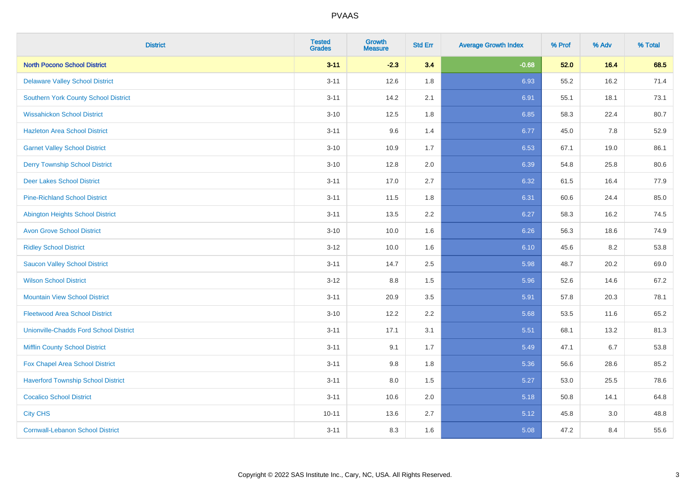| <b>District</b>                               | <b>Tested</b><br><b>Grades</b> | <b>Growth</b><br><b>Measure</b> | <b>Std Err</b> | <b>Average Growth Index</b> | % Prof | % Adv | % Total |
|-----------------------------------------------|--------------------------------|---------------------------------|----------------|-----------------------------|--------|-------|---------|
| <b>North Pocono School District</b>           | $3 - 11$                       | $-2.3$                          | 3.4            | $-0.68$                     | 52.0   | 16.4  | 68.5    |
| <b>Delaware Valley School District</b>        | $3 - 11$                       | 12.6                            | 1.8            | 6.93                        | 55.2   | 16.2  | 71.4    |
| <b>Southern York County School District</b>   | $3 - 11$                       | 14.2                            | 2.1            | 6.91                        | 55.1   | 18.1  | 73.1    |
| <b>Wissahickon School District</b>            | $3 - 10$                       | 12.5                            | 1.8            | 6.85                        | 58.3   | 22.4  | 80.7    |
| <b>Hazleton Area School District</b>          | $3 - 11$                       | 9.6                             | 1.4            | 6.77                        | 45.0   | 7.8   | 52.9    |
| <b>Garnet Valley School District</b>          | $3 - 10$                       | 10.9                            | 1.7            | 6.53                        | 67.1   | 19.0  | 86.1    |
| <b>Derry Township School District</b>         | $3 - 10$                       | 12.8                            | 2.0            | 6.39                        | 54.8   | 25.8  | 80.6    |
| <b>Deer Lakes School District</b>             | $3 - 11$                       | 17.0                            | 2.7            | 6.32                        | 61.5   | 16.4  | 77.9    |
| <b>Pine-Richland School District</b>          | $3 - 11$                       | 11.5                            | 1.8            | 6.31                        | 60.6   | 24.4  | 85.0    |
| Abington Heights School District              | $3 - 11$                       | 13.5                            | 2.2            | 6.27                        | 58.3   | 16.2  | 74.5    |
| <b>Avon Grove School District</b>             | $3 - 10$                       | 10.0                            | 1.6            | 6.26                        | 56.3   | 18.6  | 74.9    |
| <b>Ridley School District</b>                 | $3 - 12$                       | 10.0                            | 1.6            | 6.10                        | 45.6   | 8.2   | 53.8    |
| <b>Saucon Valley School District</b>          | $3 - 11$                       | 14.7                            | 2.5            | 5.98                        | 48.7   | 20.2  | 69.0    |
| <b>Wilson School District</b>                 | $3 - 12$                       | 8.8                             | 1.5            | 5.96                        | 52.6   | 14.6  | 67.2    |
| <b>Mountain View School District</b>          | $3 - 11$                       | 20.9                            | 3.5            | 5.91                        | 57.8   | 20.3  | 78.1    |
| <b>Fleetwood Area School District</b>         | $3 - 10$                       | 12.2                            | 2.2            | 5.68                        | 53.5   | 11.6  | 65.2    |
| <b>Unionville-Chadds Ford School District</b> | $3 - 11$                       | 17.1                            | 3.1            | 5.51                        | 68.1   | 13.2  | 81.3    |
| <b>Mifflin County School District</b>         | $3 - 11$                       | 9.1                             | 1.7            | 5.49                        | 47.1   | 6.7   | 53.8    |
| Fox Chapel Area School District               | $3 - 11$                       | 9.8                             | 1.8            | 5.36                        | 56.6   | 28.6  | 85.2    |
| <b>Haverford Township School District</b>     | $3 - 11$                       | 8.0                             | 1.5            | 5.27                        | 53.0   | 25.5  | 78.6    |
| <b>Cocalico School District</b>               | $3 - 11$                       | 10.6                            | 2.0            | 5.18                        | 50.8   | 14.1  | 64.8    |
| <b>City CHS</b>                               | $10 - 11$                      | 13.6                            | 2.7            | 5.12                        | 45.8   | 3.0   | 48.8    |
| <b>Cornwall-Lebanon School District</b>       | $3 - 11$                       | 8.3                             | 1.6            | 5.08                        | 47.2   | 8.4   | 55.6    |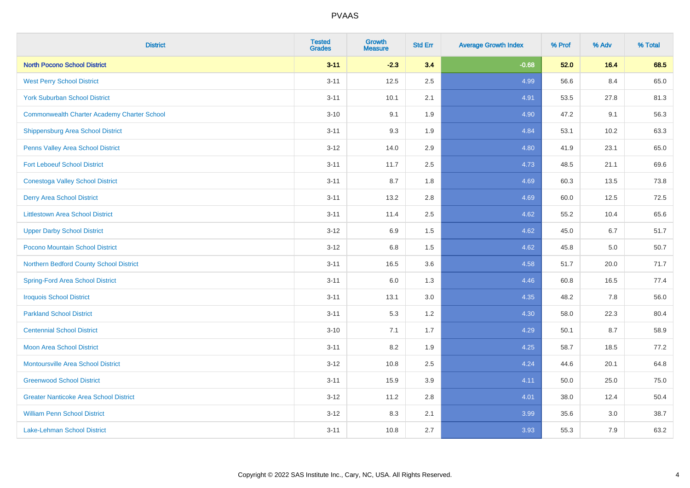| <b>District</b>                                    | <b>Tested</b><br><b>Grades</b> | Growth<br><b>Measure</b> | <b>Std Err</b> | <b>Average Growth Index</b> | % Prof | % Adv | % Total |
|----------------------------------------------------|--------------------------------|--------------------------|----------------|-----------------------------|--------|-------|---------|
| <b>North Pocono School District</b>                | $3 - 11$                       | $-2.3$                   | 3.4            | $-0.68$                     | 52.0   | 16.4  | 68.5    |
| <b>West Perry School District</b>                  | $3 - 11$                       | 12.5                     | 2.5            | 4.99                        | 56.6   | 8.4   | 65.0    |
| <b>York Suburban School District</b>               | $3 - 11$                       | 10.1                     | 2.1            | 4.91                        | 53.5   | 27.8  | 81.3    |
| <b>Commonwealth Charter Academy Charter School</b> | $3 - 10$                       | 9.1                      | 1.9            | 4.90                        | 47.2   | 9.1   | 56.3    |
| Shippensburg Area School District                  | $3 - 11$                       | 9.3                      | 1.9            | 4.84                        | 53.1   | 10.2  | 63.3    |
| Penns Valley Area School District                  | $3 - 12$                       | 14.0                     | 2.9            | 4.80                        | 41.9   | 23.1  | 65.0    |
| <b>Fort Leboeuf School District</b>                | $3 - 11$                       | 11.7                     | 2.5            | 4.73                        | 48.5   | 21.1  | 69.6    |
| <b>Conestoga Valley School District</b>            | $3 - 11$                       | 8.7                      | 1.8            | 4.69                        | 60.3   | 13.5  | 73.8    |
| <b>Derry Area School District</b>                  | $3 - 11$                       | 13.2                     | 2.8            | 4.69                        | 60.0   | 12.5  | 72.5    |
| <b>Littlestown Area School District</b>            | $3 - 11$                       | 11.4                     | $2.5\,$        | 4.62                        | 55.2   | 10.4  | 65.6    |
| <b>Upper Darby School District</b>                 | $3 - 12$                       | 6.9                      | 1.5            | 4.62                        | 45.0   | 6.7   | 51.7    |
| Pocono Mountain School District                    | $3 - 12$                       | $6.8\,$                  | 1.5            | 4.62                        | 45.8   | 5.0   | 50.7    |
| Northern Bedford County School District            | $3 - 11$                       | 16.5                     | 3.6            | 4.58                        | 51.7   | 20.0  | 71.7    |
| <b>Spring-Ford Area School District</b>            | $3 - 11$                       | 6.0                      | 1.3            | 4.46                        | 60.8   | 16.5  | 77.4    |
| <b>Iroquois School District</b>                    | $3 - 11$                       | 13.1                     | 3.0            | 4.35                        | 48.2   | 7.8   | 56.0    |
| <b>Parkland School District</b>                    | $3 - 11$                       | 5.3                      | 1.2            | 4.30                        | 58.0   | 22.3  | 80.4    |
| <b>Centennial School District</b>                  | $3 - 10$                       | 7.1                      | 1.7            | 4.29                        | 50.1   | 8.7   | 58.9    |
| <b>Moon Area School District</b>                   | $3 - 11$                       | 8.2                      | 1.9            | 4.25                        | 58.7   | 18.5  | 77.2    |
| <b>Montoursville Area School District</b>          | $3 - 12$                       | 10.8                     | 2.5            | 4.24                        | 44.6   | 20.1  | 64.8    |
| <b>Greenwood School District</b>                   | $3 - 11$                       | 15.9                     | 3.9            | 4.11                        | 50.0   | 25.0  | 75.0    |
| <b>Greater Nanticoke Area School District</b>      | $3 - 12$                       | 11.2                     | 2.8            | 4.01                        | 38.0   | 12.4  | 50.4    |
| <b>William Penn School District</b>                | $3 - 12$                       | 8.3                      | 2.1            | 3.99                        | 35.6   | 3.0   | 38.7    |
| Lake-Lehman School District                        | $3 - 11$                       | 10.8                     | 2.7            | 3.93                        | 55.3   | 7.9   | 63.2    |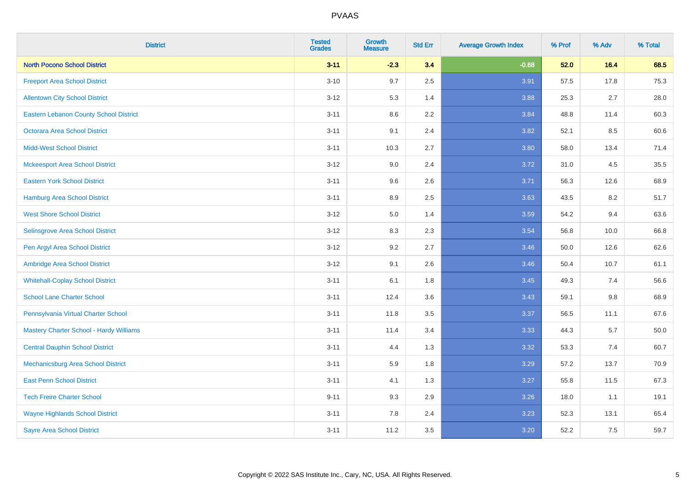| <b>District</b>                         | <b>Tested</b><br><b>Grades</b> | <b>Growth</b><br><b>Measure</b> | <b>Std Err</b> | <b>Average Growth Index</b> | % Prof | % Adv   | % Total |
|-----------------------------------------|--------------------------------|---------------------------------|----------------|-----------------------------|--------|---------|---------|
| <b>North Pocono School District</b>     | $3 - 11$                       | $-2.3$                          | 3.4            | $-0.68$                     | 52.0   | 16.4    | 68.5    |
| <b>Freeport Area School District</b>    | $3 - 10$                       | 9.7                             | 2.5            | 3.91                        | 57.5   | 17.8    | 75.3    |
| <b>Allentown City School District</b>   | $3 - 12$                       | 5.3                             | 1.4            | 3.88                        | 25.3   | 2.7     | 28.0    |
| Eastern Lebanon County School District  | $3 - 11$                       | 8.6                             | 2.2            | 3.84                        | 48.8   | 11.4    | 60.3    |
| <b>Octorara Area School District</b>    | $3 - 11$                       | 9.1                             | 2.4            | 3.82                        | 52.1   | 8.5     | 60.6    |
| <b>Midd-West School District</b>        | $3 - 11$                       | 10.3                            | 2.7            | 3.80                        | 58.0   | 13.4    | 71.4    |
| <b>Mckeesport Area School District</b>  | $3 - 12$                       | 9.0                             | 2.4            | 3.72                        | 31.0   | 4.5     | 35.5    |
| <b>Eastern York School District</b>     | $3 - 11$                       | 9.6                             | 2.6            | 3.71                        | 56.3   | 12.6    | 68.9    |
| <b>Hamburg Area School District</b>     | $3 - 11$                       | 8.9                             | 2.5            | 3.63                        | 43.5   | 8.2     | 51.7    |
| <b>West Shore School District</b>       | $3 - 12$                       | 5.0                             | 1.4            | 3.59                        | 54.2   | 9.4     | 63.6    |
| Selinsgrove Area School District        | $3-12$                         | 8.3                             | 2.3            | 3.54                        | 56.8   | 10.0    | 66.8    |
| Pen Argyl Area School District          | $3-12$                         | 9.2                             | 2.7            | 3.46                        | 50.0   | 12.6    | 62.6    |
| Ambridge Area School District           | $3 - 12$                       | 9.1                             | 2.6            | 3.46                        | 50.4   | 10.7    | 61.1    |
| <b>Whitehall-Coplay School District</b> | $3 - 11$                       | 6.1                             | 1.8            | 3.45                        | 49.3   | 7.4     | 56.6    |
| <b>School Lane Charter School</b>       | $3 - 11$                       | 12.4                            | 3.6            | 3.43                        | 59.1   | $9.8\,$ | 68.9    |
| Pennsylvania Virtual Charter School     | $3 - 11$                       | 11.8                            | 3.5            | 3.37                        | 56.5   | 11.1    | 67.6    |
| Mastery Charter School - Hardy Williams | $3 - 11$                       | 11.4                            | 3.4            | 3.33                        | 44.3   | 5.7     | 50.0    |
| <b>Central Dauphin School District</b>  | $3 - 11$                       | 4.4                             | 1.3            | 3.32                        | 53.3   | 7.4     | 60.7    |
| Mechanicsburg Area School District      | $3 - 11$                       | 5.9                             | 1.8            | 3.29                        | 57.2   | 13.7    | 70.9    |
| <b>East Penn School District</b>        | $3 - 11$                       | 4.1                             | 1.3            | 3.27                        | 55.8   | 11.5    | 67.3    |
| <b>Tech Freire Charter School</b>       | $9 - 11$                       | 9.3                             | 2.9            | 3.26                        | 18.0   | 1.1     | 19.1    |
| <b>Wayne Highlands School District</b>  | $3 - 11$                       | 7.8                             | 2.4            | 3.23                        | 52.3   | 13.1    | 65.4    |
| <b>Sayre Area School District</b>       | $3 - 11$                       | 11.2                            | 3.5            | 3.20                        | 52.2   | 7.5     | 59.7    |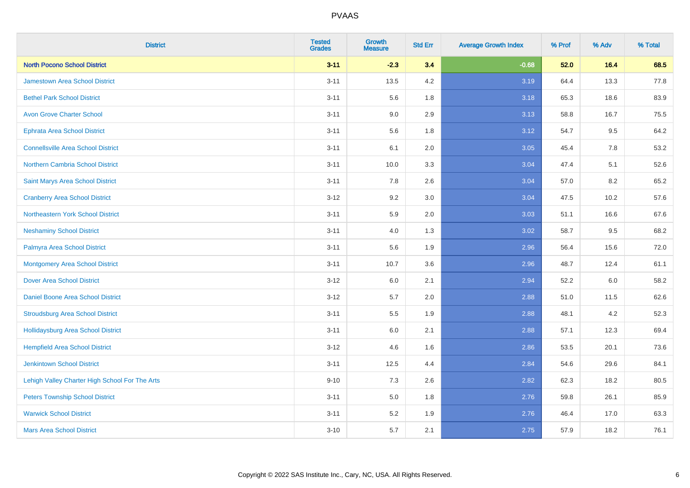| <b>District</b>                                | <b>Tested</b><br><b>Grades</b> | <b>Growth</b><br><b>Measure</b> | <b>Std Err</b> | <b>Average Growth Index</b> | % Prof | % Adv | % Total |
|------------------------------------------------|--------------------------------|---------------------------------|----------------|-----------------------------|--------|-------|---------|
| <b>North Pocono School District</b>            | $3 - 11$                       | $-2.3$                          | 3.4            | $-0.68$                     | 52.0   | 16.4  | 68.5    |
| <b>Jamestown Area School District</b>          | $3 - 11$                       | 13.5                            | 4.2            | 3.19                        | 64.4   | 13.3  | 77.8    |
| <b>Bethel Park School District</b>             | $3 - 11$                       | 5.6                             | 1.8            | 3.18                        | 65.3   | 18.6  | 83.9    |
| <b>Avon Grove Charter School</b>               | $3 - 11$                       | 9.0                             | 2.9            | 3.13                        | 58.8   | 16.7  | 75.5    |
| <b>Ephrata Area School District</b>            | $3 - 11$                       | 5.6                             | 1.8            | 3.12                        | 54.7   | 9.5   | 64.2    |
| <b>Connellsville Area School District</b>      | $3 - 11$                       | 6.1                             | 2.0            | 3.05                        | 45.4   | 7.8   | 53.2    |
| Northern Cambria School District               | $3 - 11$                       | 10.0                            | 3.3            | 3.04                        | 47.4   | 5.1   | 52.6    |
| Saint Marys Area School District               | $3 - 11$                       | 7.8                             | 2.6            | 3.04                        | 57.0   | 8.2   | 65.2    |
| <b>Cranberry Area School District</b>          | $3 - 12$                       | 9.2                             | 3.0            | 3.04                        | 47.5   | 10.2  | 57.6    |
| Northeastern York School District              | $3 - 11$                       | 5.9                             | 2.0            | 3.03                        | 51.1   | 16.6  | 67.6    |
| <b>Neshaminy School District</b>               | $3 - 11$                       | 4.0                             | 1.3            | 3.02                        | 58.7   | 9.5   | 68.2    |
| Palmyra Area School District                   | $3 - 11$                       | 5.6                             | 1.9            | 2.96                        | 56.4   | 15.6  | 72.0    |
| <b>Montgomery Area School District</b>         | $3 - 11$                       | 10.7                            | 3.6            | 2.96                        | 48.7   | 12.4  | 61.1    |
| <b>Dover Area School District</b>              | $3-12$                         | 6.0                             | 2.1            | 2.94                        | 52.2   | 6.0   | 58.2    |
| <b>Daniel Boone Area School District</b>       | $3 - 12$                       | 5.7                             | 2.0            | 2.88                        | 51.0   | 11.5  | 62.6    |
| <b>Stroudsburg Area School District</b>        | $3 - 11$                       | 5.5                             | 1.9            | 2.88                        | 48.1   | 4.2   | 52.3    |
| Hollidaysburg Area School District             | $3 - 11$                       | 6.0                             | 2.1            | 2.88                        | 57.1   | 12.3  | 69.4    |
| <b>Hempfield Area School District</b>          | $3 - 12$                       | 4.6                             | 1.6            | 2.86                        | 53.5   | 20.1  | 73.6    |
| <b>Jenkintown School District</b>              | $3 - 11$                       | 12.5                            | 4.4            | 2.84                        | 54.6   | 29.6  | 84.1    |
| Lehigh Valley Charter High School For The Arts | $9 - 10$                       | 7.3                             | 2.6            | 2.82                        | 62.3   | 18.2  | 80.5    |
| <b>Peters Township School District</b>         | $3 - 11$                       | 5.0                             | 1.8            | 2.76                        | 59.8   | 26.1  | 85.9    |
| <b>Warwick School District</b>                 | $3 - 11$                       | 5.2                             | 1.9            | 2.76                        | 46.4   | 17.0  | 63.3    |
| <b>Mars Area School District</b>               | $3 - 10$                       | 5.7                             | 2.1            | 2.75                        | 57.9   | 18.2  | 76.1    |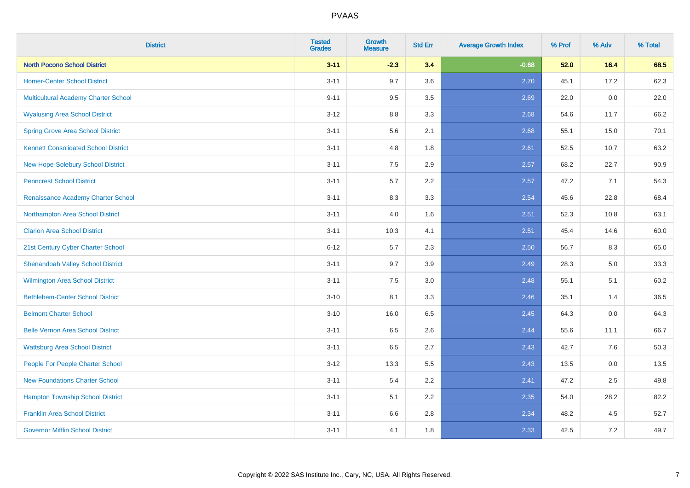| <b>District</b>                             | <b>Tested</b><br><b>Grades</b> | <b>Growth</b><br><b>Measure</b> | <b>Std Err</b> | <b>Average Growth Index</b> | % Prof | % Adv   | % Total |
|---------------------------------------------|--------------------------------|---------------------------------|----------------|-----------------------------|--------|---------|---------|
| <b>North Pocono School District</b>         | $3 - 11$                       | $-2.3$                          | 3.4            | $-0.68$                     | 52.0   | 16.4    | 68.5    |
| <b>Homer-Center School District</b>         | $3 - 11$                       | 9.7                             | 3.6            | 2.70                        | 45.1   | 17.2    | 62.3    |
| <b>Multicultural Academy Charter School</b> | $9 - 11$                       | 9.5                             | 3.5            | 2.69                        | 22.0   | 0.0     | 22.0    |
| <b>Wyalusing Area School District</b>       | $3-12$                         | 8.8                             | 3.3            | 2.68                        | 54.6   | 11.7    | 66.2    |
| <b>Spring Grove Area School District</b>    | $3 - 11$                       | 5.6                             | 2.1            | 2.68                        | 55.1   | 15.0    | 70.1    |
| <b>Kennett Consolidated School District</b> | $3 - 11$                       | 4.8                             | 1.8            | 2.61                        | 52.5   | 10.7    | 63.2    |
| <b>New Hope-Solebury School District</b>    | $3 - 11$                       | 7.5                             | 2.9            | 2.57                        | 68.2   | 22.7    | 90.9    |
| <b>Penncrest School District</b>            | $3 - 11$                       | 5.7                             | 2.2            | 2.57                        | 47.2   | 7.1     | 54.3    |
| Renaissance Academy Charter School          | $3 - 11$                       | 8.3                             | 3.3            | 2.54                        | 45.6   | 22.8    | 68.4    |
| Northampton Area School District            | $3 - 11$                       | 4.0                             | 1.6            | 2.51                        | 52.3   | 10.8    | 63.1    |
| <b>Clarion Area School District</b>         | $3 - 11$                       | 10.3                            | 4.1            | 2.51                        | 45.4   | 14.6    | 60.0    |
| 21st Century Cyber Charter School           | $6 - 12$                       | 5.7                             | 2.3            | 2.50                        | 56.7   | 8.3     | 65.0    |
| <b>Shenandoah Valley School District</b>    | $3 - 11$                       | 9.7                             | 3.9            | 2.49                        | 28.3   | $5.0\,$ | 33.3    |
| Wilmington Area School District             | $3 - 11$                       | 7.5                             | 3.0            | 2.48                        | 55.1   | 5.1     | 60.2    |
| <b>Bethlehem-Center School District</b>     | $3 - 10$                       | 8.1                             | 3.3            | 2.46                        | 35.1   | 1.4     | 36.5    |
| <b>Belmont Charter School</b>               | $3 - 10$                       | 16.0                            | 6.5            | 2.45                        | 64.3   | $0.0\,$ | 64.3    |
| <b>Belle Vernon Area School District</b>    | $3 - 11$                       | 6.5                             | 2.6            | 2.44                        | 55.6   | 11.1    | 66.7    |
| <b>Wattsburg Area School District</b>       | $3 - 11$                       | 6.5                             | 2.7            | 2.43                        | 42.7   | 7.6     | 50.3    |
| People For People Charter School            | $3 - 12$                       | 13.3                            | 5.5            | 2.43                        | 13.5   | 0.0     | 13.5    |
| <b>New Foundations Charter School</b>       | $3 - 11$                       | 5.4                             | 2.2            | 2.41                        | 47.2   | 2.5     | 49.8    |
| <b>Hampton Township School District</b>     | $3 - 11$                       | 5.1                             | 2.2            | 2.35                        | 54.0   | 28.2    | 82.2    |
| <b>Franklin Area School District</b>        | $3 - 11$                       | 6.6                             | 2.8            | 2.34                        | 48.2   | 4.5     | 52.7    |
| <b>Governor Mifflin School District</b>     | $3 - 11$                       | 4.1                             | 1.8            | 2.33                        | 42.5   | $7.2\,$ | 49.7    |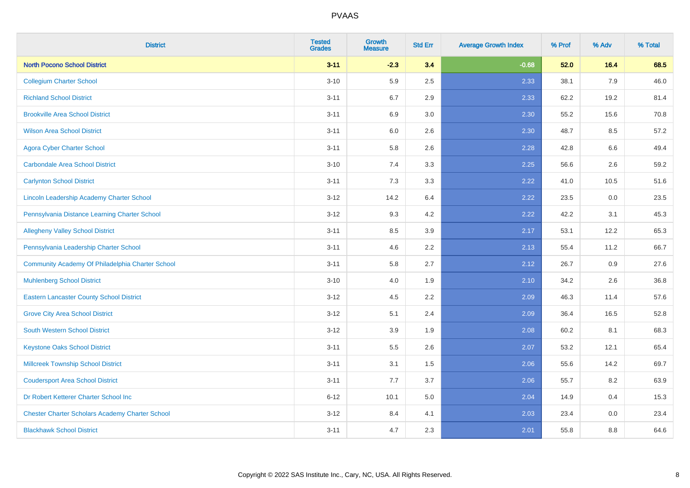| <b>District</b>                                        | <b>Tested</b><br><b>Grades</b> | <b>Growth</b><br><b>Measure</b> | <b>Std Err</b> | <b>Average Growth Index</b> | % Prof | % Adv   | % Total |
|--------------------------------------------------------|--------------------------------|---------------------------------|----------------|-----------------------------|--------|---------|---------|
| <b>North Pocono School District</b>                    | $3 - 11$                       | $-2.3$                          | 3.4            | $-0.68$                     | 52.0   | 16.4    | 68.5    |
| <b>Collegium Charter School</b>                        | $3 - 10$                       | 5.9                             | 2.5            | 2.33                        | 38.1   | 7.9     | 46.0    |
| <b>Richland School District</b>                        | $3 - 11$                       | 6.7                             | 2.9            | 2.33                        | 62.2   | 19.2    | 81.4    |
| <b>Brookville Area School District</b>                 | $3 - 11$                       | 6.9                             | 3.0            | 2.30                        | 55.2   | 15.6    | 70.8    |
| <b>Wilson Area School District</b>                     | $3 - 11$                       | 6.0                             | 2.6            | 2.30                        | 48.7   | 8.5     | 57.2    |
| <b>Agora Cyber Charter School</b>                      | $3 - 11$                       | 5.8                             | 2.6            | 2.28                        | 42.8   | 6.6     | 49.4    |
| <b>Carbondale Area School District</b>                 | $3 - 10$                       | 7.4                             | 3.3            | 2.25                        | 56.6   | 2.6     | 59.2    |
| <b>Carlynton School District</b>                       | $3 - 11$                       | 7.3                             | 3.3            | 2.22                        | 41.0   | 10.5    | 51.6    |
| Lincoln Leadership Academy Charter School              | $3 - 12$                       | 14.2                            | 6.4            | 2.22                        | 23.5   | 0.0     | 23.5    |
| Pennsylvania Distance Learning Charter School          | $3-12$                         | 9.3                             | 4.2            | 2.22                        | 42.2   | 3.1     | 45.3    |
| <b>Allegheny Valley School District</b>                | $3 - 11$                       | 8.5                             | 3.9            | 2.17                        | 53.1   | 12.2    | 65.3    |
| Pennsylvania Leadership Charter School                 | $3 - 11$                       | 4.6                             | 2.2            | 2.13                        | 55.4   | 11.2    | 66.7    |
| Community Academy Of Philadelphia Charter School       | $3 - 11$                       | 5.8                             | 2.7            | 2.12                        | 26.7   | $0.9\,$ | 27.6    |
| <b>Muhlenberg School District</b>                      | $3 - 10$                       | 4.0                             | 1.9            | 2.10                        | 34.2   | 2.6     | 36.8    |
| <b>Eastern Lancaster County School District</b>        | $3 - 12$                       | 4.5                             | 2.2            | 2.09                        | 46.3   | 11.4    | 57.6    |
| <b>Grove City Area School District</b>                 | $3-12$                         | 5.1                             | 2.4            | 2.09                        | 36.4   | 16.5    | 52.8    |
| <b>South Western School District</b>                   | $3-12$                         | 3.9                             | 1.9            | 2.08                        | 60.2   | 8.1     | 68.3    |
| <b>Keystone Oaks School District</b>                   | $3 - 11$                       | 5.5                             | 2.6            | 2.07                        | 53.2   | 12.1    | 65.4    |
| <b>Millcreek Township School District</b>              | $3 - 11$                       | 3.1                             | 1.5            | 2.06                        | 55.6   | 14.2    | 69.7    |
| <b>Coudersport Area School District</b>                | $3 - 11$                       | 7.7                             | 3.7            | 2.06                        | 55.7   | 8.2     | 63.9    |
| Dr Robert Ketterer Charter School Inc                  | $6 - 12$                       | 10.1                            | 5.0            | 2.04                        | 14.9   | 0.4     | 15.3    |
| <b>Chester Charter Scholars Academy Charter School</b> | $3 - 12$                       | 8.4                             | 4.1            | 2.03                        | 23.4   | 0.0     | 23.4    |
| <b>Blackhawk School District</b>                       | $3 - 11$                       | 4.7                             | 2.3            | 2.01                        | 55.8   | 8.8     | 64.6    |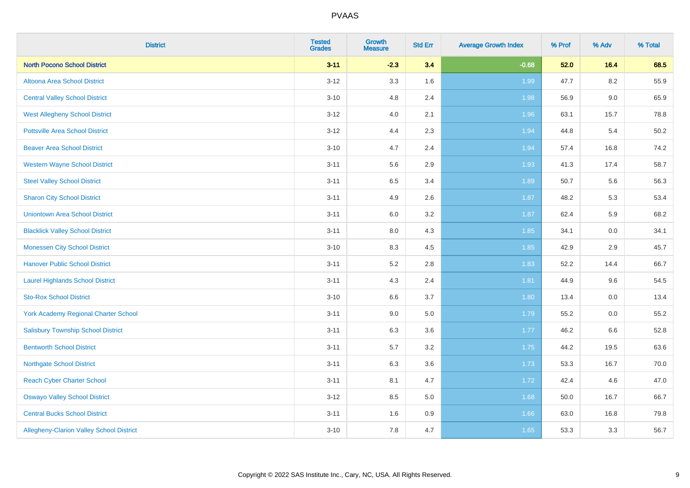| <b>District</b>                                 | <b>Tested</b><br><b>Grades</b> | <b>Growth</b><br><b>Measure</b> | <b>Std Err</b> | <b>Average Growth Index</b> | % Prof | % Adv   | % Total |
|-------------------------------------------------|--------------------------------|---------------------------------|----------------|-----------------------------|--------|---------|---------|
| <b>North Pocono School District</b>             | $3 - 11$                       | $-2.3$                          | 3.4            | $-0.68$                     | 52.0   | 16.4    | 68.5    |
| Altoona Area School District                    | $3 - 12$                       | 3.3                             | 1.6            | 1.99                        | 47.7   | $8.2\,$ | 55.9    |
| <b>Central Valley School District</b>           | $3 - 10$                       | 4.8                             | 2.4            | 1.98                        | 56.9   | $9.0\,$ | 65.9    |
| <b>West Allegheny School District</b>           | $3 - 12$                       | 4.0                             | 2.1            | 1.96                        | 63.1   | 15.7    | 78.8    |
| <b>Pottsville Area School District</b>          | $3 - 12$                       | 4.4                             | 2.3            | 1.94                        | 44.8   | 5.4     | 50.2    |
| <b>Beaver Area School District</b>              | $3 - 10$                       | 4.7                             | 2.4            | 1.94                        | 57.4   | 16.8    | 74.2    |
| <b>Western Wayne School District</b>            | $3 - 11$                       | 5.6                             | 2.9            | 1.93                        | 41.3   | 17.4    | 58.7    |
| <b>Steel Valley School District</b>             | $3 - 11$                       | 6.5                             | 3.4            | 1.89                        | 50.7   | 5.6     | 56.3    |
| <b>Sharon City School District</b>              | $3 - 11$                       | 4.9                             | 2.6            | 1.87                        | 48.2   | 5.3     | 53.4    |
| <b>Uniontown Area School District</b>           | $3 - 11$                       | 6.0                             | 3.2            | 1.87                        | 62.4   | 5.9     | 68.2    |
| <b>Blacklick Valley School District</b>         | $3 - 11$                       | 8.0                             | 4.3            | 1.85                        | 34.1   | 0.0     | 34.1    |
| <b>Monessen City School District</b>            | $3 - 10$                       | 8.3                             | 4.5            | 1.85                        | 42.9   | 2.9     | 45.7    |
| <b>Hanover Public School District</b>           | $3 - 11$                       | 5.2                             | 2.8            | 1.83                        | 52.2   | 14.4    | 66.7    |
| <b>Laurel Highlands School District</b>         | $3 - 11$                       | 4.3                             | 2.4            | 1.81                        | 44.9   | 9.6     | 54.5    |
| <b>Sto-Rox School District</b>                  | $3 - 10$                       | 6.6                             | 3.7            | 1.80                        | 13.4   | 0.0     | 13.4    |
| <b>York Academy Regional Charter School</b>     | $3 - 11$                       | 9.0                             | 5.0            | 1.79                        | 55.2   | $0.0\,$ | 55.2    |
| <b>Salisbury Township School District</b>       | $3 - 11$                       | 6.3                             | 3.6            | $1.77$                      | 46.2   | 6.6     | 52.8    |
| <b>Bentworth School District</b>                | $3 - 11$                       | 5.7                             | 3.2            | 1.75                        | 44.2   | 19.5    | 63.6    |
| <b>Northgate School District</b>                | $3 - 11$                       | 6.3                             | 3.6            | 1.73                        | 53.3   | 16.7    | 70.0    |
| <b>Reach Cyber Charter School</b>               | $3 - 11$                       | 8.1                             | 4.7            | 1.72                        | 42.4   | 4.6     | 47.0    |
| <b>Oswayo Valley School District</b>            | $3 - 12$                       | 8.5                             | 5.0            | 1.68                        | 50.0   | 16.7    | 66.7    |
| <b>Central Bucks School District</b>            | $3 - 11$                       | 1.6                             | 0.9            | 1.66                        | 63.0   | 16.8    | 79.8    |
| <b>Allegheny-Clarion Valley School District</b> | $3 - 10$                       | 7.8                             | 4.7            | 1.65                        | 53.3   | 3.3     | 56.7    |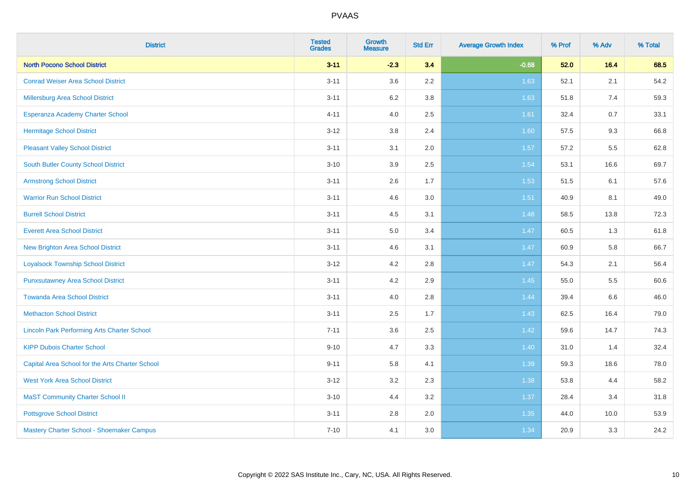| <b>District</b>                                    | <b>Tested</b><br><b>Grades</b> | <b>Growth</b><br><b>Measure</b> | <b>Std Err</b> | <b>Average Growth Index</b> | % Prof | % Adv | % Total |
|----------------------------------------------------|--------------------------------|---------------------------------|----------------|-----------------------------|--------|-------|---------|
| <b>North Pocono School District</b>                | $3 - 11$                       | $-2.3$                          | 3.4            | $-0.68$                     | 52.0   | 16.4  | 68.5    |
| <b>Conrad Weiser Area School District</b>          | $3 - 11$                       | 3.6                             | 2.2            | 1.63                        | 52.1   | 2.1   | 54.2    |
| Millersburg Area School District                   | $3 - 11$                       | 6.2                             | 3.8            | 1.63                        | 51.8   | 7.4   | 59.3    |
| Esperanza Academy Charter School                   | $4 - 11$                       | 4.0                             | 2.5            | 1.61                        | 32.4   | 0.7   | 33.1    |
| <b>Hermitage School District</b>                   | $3 - 12$                       | 3.8                             | 2.4            | 1.60                        | 57.5   | 9.3   | 66.8    |
| <b>Pleasant Valley School District</b>             | $3 - 11$                       | 3.1                             | 2.0            | 1.57                        | 57.2   | 5.5   | 62.8    |
| <b>South Butler County School District</b>         | $3 - 10$                       | 3.9                             | 2.5            | 1.54                        | 53.1   | 16.6  | 69.7    |
| <b>Armstrong School District</b>                   | $3 - 11$                       | 2.6                             | 1.7            | 1.53                        | 51.5   | 6.1   | 57.6    |
| <b>Warrior Run School District</b>                 | $3 - 11$                       | 4.6                             | 3.0            | 1.51                        | 40.9   | 8.1   | 49.0    |
| <b>Burrell School District</b>                     | $3 - 11$                       | 4.5                             | 3.1            | 1.48                        | 58.5   | 13.8  | 72.3    |
| <b>Everett Area School District</b>                | $3 - 11$                       | 5.0                             | 3.4            | 1.47                        | 60.5   | 1.3   | 61.8    |
| <b>New Brighton Area School District</b>           | $3 - 11$                       | 4.6                             | 3.1            | 1.47                        | 60.9   | 5.8   | 66.7    |
| <b>Loyalsock Township School District</b>          | $3 - 12$                       | 4.2                             | 2.8            | 1.47                        | 54.3   | 2.1   | 56.4    |
| <b>Punxsutawney Area School District</b>           | $3 - 11$                       | 4.2                             | 2.9            | 1.45                        | 55.0   | 5.5   | 60.6    |
| <b>Towanda Area School District</b>                | $3 - 11$                       | 4.0                             | 2.8            | 1.44                        | 39.4   | 6.6   | 46.0    |
| <b>Methacton School District</b>                   | $3 - 11$                       | 2.5                             | 1.7            | 1.43                        | 62.5   | 16.4  | 79.0    |
| <b>Lincoln Park Performing Arts Charter School</b> | $7 - 11$                       | 3.6                             | 2.5            | 1.42                        | 59.6   | 14.7  | 74.3    |
| <b>KIPP Dubois Charter School</b>                  | $9 - 10$                       | 4.7                             | 3.3            | 1.40                        | 31.0   | 1.4   | 32.4    |
| Capital Area School for the Arts Charter School    | $9 - 11$                       | 5.8                             | 4.1            | 1.39                        | 59.3   | 18.6  | 78.0    |
| <b>West York Area School District</b>              | $3 - 12$                       | 3.2                             | 2.3            | 1.38                        | 53.8   | 4.4   | 58.2    |
| <b>MaST Community Charter School II</b>            | $3 - 10$                       | 4.4                             | 3.2            | 1.37                        | 28.4   | 3.4   | 31.8    |
| <b>Pottsgrove School District</b>                  | $3 - 11$                       | 2.8                             | 2.0            | 1.35                        | 44.0   | 10.0  | 53.9    |
| Mastery Charter School - Shoemaker Campus          | $7 - 10$                       | 4.1                             | 3.0            | 1.34                        | 20.9   | 3.3   | 24.2    |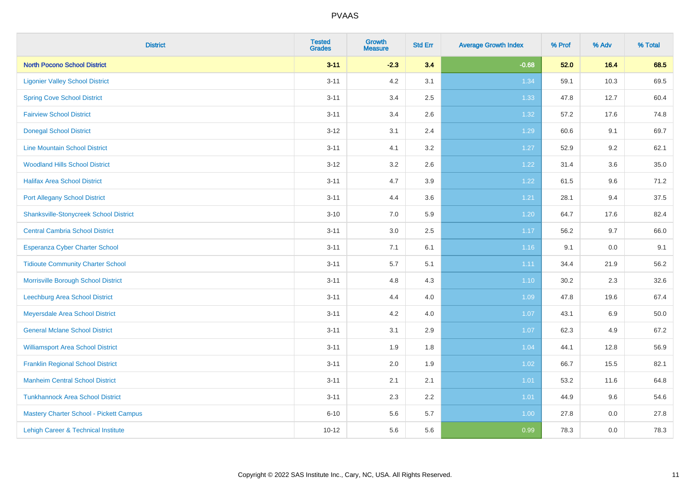| <b>District</b>                               | <b>Tested</b><br><b>Grades</b> | <b>Growth</b><br><b>Measure</b> | <b>Std Err</b> | <b>Average Growth Index</b> | % Prof | % Adv | % Total |
|-----------------------------------------------|--------------------------------|---------------------------------|----------------|-----------------------------|--------|-------|---------|
| <b>North Pocono School District</b>           | $3 - 11$                       | $-2.3$                          | 3.4            | $-0.68$                     | 52.0   | 16.4  | 68.5    |
| <b>Ligonier Valley School District</b>        | $3 - 11$                       | 4.2                             | 3.1            | 1.34                        | 59.1   | 10.3  | 69.5    |
| <b>Spring Cove School District</b>            | $3 - 11$                       | 3.4                             | 2.5            | 1.33                        | 47.8   | 12.7  | 60.4    |
| <b>Fairview School District</b>               | $3 - 11$                       | 3.4                             | 2.6            | 1.32                        | 57.2   | 17.6  | 74.8    |
| <b>Donegal School District</b>                | $3 - 12$                       | 3.1                             | 2.4            | 1.29                        | 60.6   | 9.1   | 69.7    |
| <b>Line Mountain School District</b>          | $3 - 11$                       | 4.1                             | 3.2            | 1.27                        | 52.9   | 9.2   | 62.1    |
| <b>Woodland Hills School District</b>         | $3 - 12$                       | 3.2                             | 2.6            | 1.22                        | 31.4   | 3.6   | 35.0    |
| <b>Halifax Area School District</b>           | $3 - 11$                       | 4.7                             | 3.9            | 1.22                        | 61.5   | 9.6   | 71.2    |
| <b>Port Allegany School District</b>          | $3 - 11$                       | 4.4                             | 3.6            | 1.21                        | 28.1   | 9.4   | 37.5    |
| <b>Shanksville-Stonycreek School District</b> | $3 - 10$                       | 7.0                             | 5.9            | 1.20                        | 64.7   | 17.6  | 82.4    |
| <b>Central Cambria School District</b>        | $3 - 11$                       | 3.0                             | 2.5            | 1.17                        | 56.2   | 9.7   | 66.0    |
| Esperanza Cyber Charter School                | $3 - 11$                       | 7.1                             | 6.1            | 1.16                        | 9.1    | 0.0   | 9.1     |
| <b>Tidioute Community Charter School</b>      | $3 - 11$                       | $5.7\,$                         | 5.1            | 1.11                        | 34.4   | 21.9  | 56.2    |
| Morrisville Borough School District           | $3 - 11$                       | 4.8                             | 4.3            | $1.10$                      | 30.2   | 2.3   | 32.6    |
| <b>Leechburg Area School District</b>         | $3 - 11$                       | 4.4                             | 4.0            | 1.09                        | 47.8   | 19.6  | 67.4    |
| Meyersdale Area School District               | $3 - 11$                       | 4.2                             | 4.0            | 1.07                        | 43.1   | 6.9   | 50.0    |
| <b>General Mclane School District</b>         | $3 - 11$                       | 3.1                             | 2.9            | 1.07                        | 62.3   | 4.9   | 67.2    |
| <b>Williamsport Area School District</b>      | $3 - 11$                       | 1.9                             | 1.8            | 1.04                        | 44.1   | 12.8  | 56.9    |
| <b>Franklin Regional School District</b>      | $3 - 11$                       | 2.0                             | 1.9            | 1.02                        | 66.7   | 15.5  | 82.1    |
| <b>Manheim Central School District</b>        | $3 - 11$                       | 2.1                             | 2.1            | $1.01$                      | 53.2   | 11.6  | 64.8    |
| <b>Tunkhannock Area School District</b>       | $3 - 11$                       | 2.3                             | 2.2            | 1.01                        | 44.9   | 9.6   | 54.6    |
| Mastery Charter School - Pickett Campus       | $6 - 10$                       | 5.6                             | 5.7            | 1.00                        | 27.8   | 0.0   | 27.8    |
| Lehigh Career & Technical Institute           | $10 - 12$                      | 5.6                             | 5.6            | 0.99                        | 78.3   | 0.0   | 78.3    |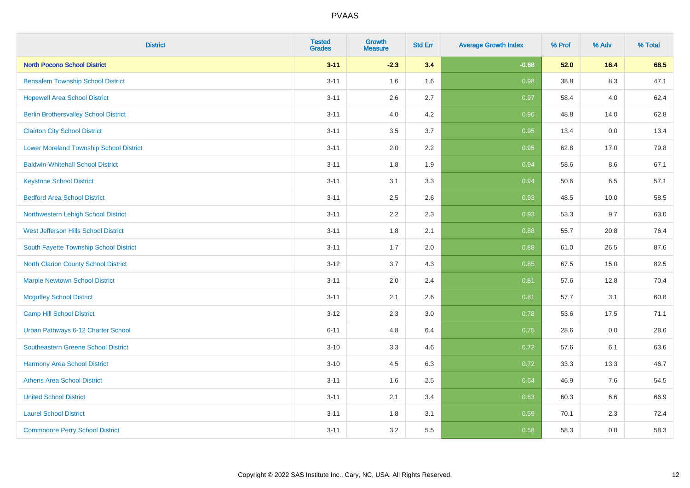| <b>District</b>                                | <b>Tested</b><br><b>Grades</b> | <b>Growth</b><br><b>Measure</b> | <b>Std Err</b> | <b>Average Growth Index</b> | % Prof | % Adv   | % Total |
|------------------------------------------------|--------------------------------|---------------------------------|----------------|-----------------------------|--------|---------|---------|
| <b>North Pocono School District</b>            | $3 - 11$                       | $-2.3$                          | 3.4            | $-0.68$                     | 52.0   | 16.4    | 68.5    |
| <b>Bensalem Township School District</b>       | $3 - 11$                       | 1.6                             | 1.6            | 0.98                        | 38.8   | $8.3\,$ | 47.1    |
| <b>Hopewell Area School District</b>           | $3 - 11$                       | 2.6                             | 2.7            | 0.97                        | 58.4   | 4.0     | 62.4    |
| <b>Berlin Brothersvalley School District</b>   | $3 - 11$                       | 4.0                             | 4.2            | 0.96                        | 48.8   | 14.0    | 62.8    |
| <b>Clairton City School District</b>           | $3 - 11$                       | 3.5                             | 3.7            | 0.95                        | 13.4   | 0.0     | 13.4    |
| <b>Lower Moreland Township School District</b> | $3 - 11$                       | 2.0                             | 2.2            | 0.95                        | 62.8   | 17.0    | 79.8    |
| <b>Baldwin-Whitehall School District</b>       | $3 - 11$                       | 1.8                             | 1.9            | 0.94                        | 58.6   | 8.6     | 67.1    |
| <b>Keystone School District</b>                | $3 - 11$                       | 3.1                             | 3.3            | 0.94                        | 50.6   | 6.5     | 57.1    |
| <b>Bedford Area School District</b>            | $3 - 11$                       | 2.5                             | 2.6            | 0.93                        | 48.5   | 10.0    | 58.5    |
| Northwestern Lehigh School District            | $3 - 11$                       | 2.2                             | 2.3            | 0.93                        | 53.3   | 9.7     | 63.0    |
| West Jefferson Hills School District           | $3 - 11$                       | 1.8                             | 2.1            | 0.88                        | 55.7   | 20.8    | 76.4    |
| South Fayette Township School District         | $3 - 11$                       | 1.7                             | 2.0            | 0.88                        | 61.0   | 26.5    | 87.6    |
| <b>North Clarion County School District</b>    | $3 - 12$                       | 3.7                             | 4.3            | 0.85                        | 67.5   | 15.0    | 82.5    |
| <b>Marple Newtown School District</b>          | $3 - 11$                       | 2.0                             | 2.4            | 0.81                        | 57.6   | 12.8    | 70.4    |
| <b>Mcguffey School District</b>                | $3 - 11$                       | 2.1                             | 2.6            | 0.81                        | 57.7   | 3.1     | 60.8    |
| <b>Camp Hill School District</b>               | $3 - 12$                       | 2.3                             | 3.0            | 0.78                        | 53.6   | 17.5    | 71.1    |
| Urban Pathways 6-12 Charter School             | $6 - 11$                       | 4.8                             | 6.4            | 0.75                        | 28.6   | 0.0     | 28.6    |
| Southeastern Greene School District            | $3 - 10$                       | 3.3                             | 4.6            | $\overline{0.72}$           | 57.6   | 6.1     | 63.6    |
| <b>Harmony Area School District</b>            | $3 - 10$                       | 4.5                             | 6.3            | 0.72                        | 33.3   | 13.3    | 46.7    |
| <b>Athens Area School District</b>             | $3 - 11$                       | 1.6                             | 2.5            | 0.64                        | 46.9   | 7.6     | 54.5    |
| <b>United School District</b>                  | $3 - 11$                       | 2.1                             | 3.4            | 0.63                        | 60.3   | 6.6     | 66.9    |
| <b>Laurel School District</b>                  | $3 - 11$                       | 1.8                             | 3.1            | 0.59                        | 70.1   | 2.3     | 72.4    |
| <b>Commodore Perry School District</b>         | $3 - 11$                       | 3.2                             | 5.5            | 0.58                        | 58.3   | 0.0     | 58.3    |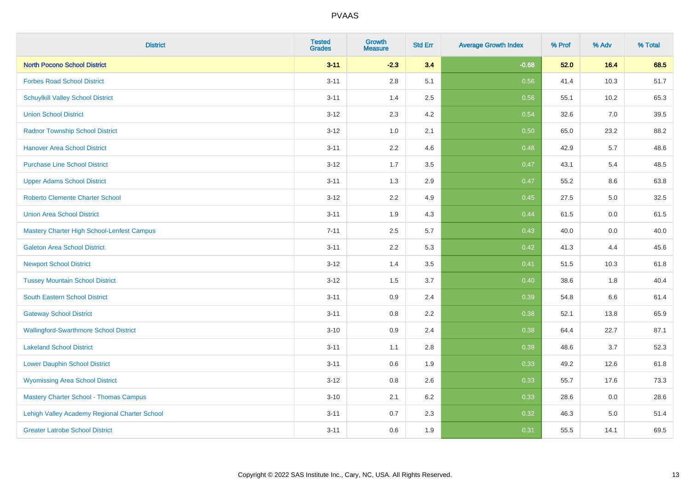| <b>District</b>                               | <b>Tested</b><br><b>Grades</b> | <b>Growth</b><br><b>Measure</b> | <b>Std Err</b> | <b>Average Growth Index</b> | % Prof | % Adv | % Total |
|-----------------------------------------------|--------------------------------|---------------------------------|----------------|-----------------------------|--------|-------|---------|
| <b>North Pocono School District</b>           | $3 - 11$                       | $-2.3$                          | 3.4            | $-0.68$                     | 52.0   | 16.4  | 68.5    |
| <b>Forbes Road School District</b>            | $3 - 11$                       | 2.8                             | 5.1            | 0.56                        | 41.4   | 10.3  | 51.7    |
| <b>Schuylkill Valley School District</b>      | $3 - 11$                       | 1.4                             | 2.5            | 0.56                        | 55.1   | 10.2  | 65.3    |
| <b>Union School District</b>                  | $3-12$                         | 2.3                             | 4.2            | 0.54                        | 32.6   | 7.0   | 39.5    |
| <b>Radnor Township School District</b>        | $3 - 12$                       | 1.0                             | 2.1            | 0.50                        | 65.0   | 23.2  | 88.2    |
| <b>Hanover Area School District</b>           | $3 - 11$                       | 2.2                             | 4.6            | 0.48                        | 42.9   | 5.7   | 48.6    |
| <b>Purchase Line School District</b>          | $3 - 12$                       | 1.7                             | 3.5            | 0.47                        | 43.1   | 5.4   | 48.5    |
| <b>Upper Adams School District</b>            | $3 - 11$                       | 1.3                             | 2.9            | 0.47                        | 55.2   | 8.6   | 63.8    |
| <b>Roberto Clemente Charter School</b>        | $3-12$                         | 2.2                             | 4.9            | 0.45                        | 27.5   | 5.0   | 32.5    |
| <b>Union Area School District</b>             | $3 - 11$                       | 1.9                             | 4.3            | 0.44                        | 61.5   | 0.0   | 61.5    |
| Mastery Charter High School-Lenfest Campus    | $7 - 11$                       | 2.5                             | 5.7            | $\boxed{0.43}$              | 40.0   | 0.0   | 40.0    |
| <b>Galeton Area School District</b>           | $3 - 11$                       | 2.2                             | 5.3            | 0.42                        | 41.3   | 4.4   | 45.6    |
| <b>Newport School District</b>                | $3 - 12$                       | 1.4                             | 3.5            | 0.41                        | 51.5   | 10.3  | 61.8    |
| <b>Tussey Mountain School District</b>        | $3 - 12$                       | 1.5                             | 3.7            | 0.40                        | 38.6   | 1.8   | 40.4    |
| <b>South Eastern School District</b>          | $3 - 11$                       | 0.9                             | 2.4            | 0.39                        | 54.8   | 6.6   | 61.4    |
| <b>Gateway School District</b>                | $3 - 11$                       | 0.8                             | 2.2            | 0.38                        | 52.1   | 13.8  | 65.9    |
| <b>Wallingford-Swarthmore School District</b> | $3 - 10$                       | 0.9                             | 2.4            | 0.38                        | 64.4   | 22.7  | 87.1    |
| <b>Lakeland School District</b>               | $3 - 11$                       | 1.1                             | 2.8            | 0.38                        | 48.6   | 3.7   | 52.3    |
| <b>Lower Dauphin School District</b>          | $3 - 11$                       | $0.6\,$                         | 1.9            | 0.33                        | 49.2   | 12.6  | 61.8    |
| <b>Wyomissing Area School District</b>        | $3 - 12$                       | $0.8\,$                         | 2.6            | 0.33                        | 55.7   | 17.6  | 73.3    |
| <b>Mastery Charter School - Thomas Campus</b> | $3 - 10$                       | 2.1                             | 6.2            | 0.33                        | 28.6   | 0.0   | 28.6    |
| Lehigh Valley Academy Regional Charter School | $3 - 11$                       | 0.7                             | 2.3            | 0.32                        | 46.3   | 5.0   | 51.4    |
| <b>Greater Latrobe School District</b>        | $3 - 11$                       | 0.6                             | 1.9            | 0.31                        | 55.5   | 14.1  | 69.5    |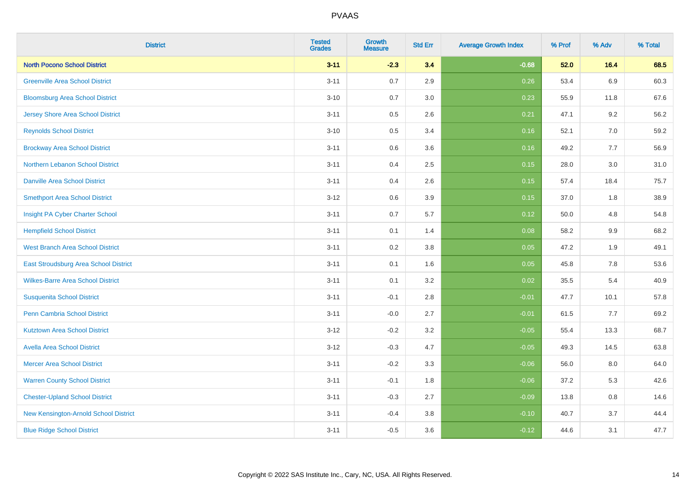| <b>District</b>                          | <b>Tested</b><br><b>Grades</b> | <b>Growth</b><br><b>Measure</b> | <b>Std Err</b> | <b>Average Growth Index</b> | % Prof | % Adv   | % Total |
|------------------------------------------|--------------------------------|---------------------------------|----------------|-----------------------------|--------|---------|---------|
| <b>North Pocono School District</b>      | $3 - 11$                       | $-2.3$                          | 3.4            | $-0.68$                     | 52.0   | 16.4    | 68.5    |
| <b>Greenville Area School District</b>   | $3 - 11$                       | 0.7                             | 2.9            | 0.26                        | 53.4   | 6.9     | 60.3    |
| <b>Bloomsburg Area School District</b>   | $3 - 10$                       | 0.7                             | 3.0            | 0.23                        | 55.9   | 11.8    | 67.6    |
| <b>Jersey Shore Area School District</b> | $3 - 11$                       | 0.5                             | 2.6            | 0.21                        | 47.1   | 9.2     | 56.2    |
| <b>Reynolds School District</b>          | $3 - 10$                       | 0.5                             | 3.4            | 0.16                        | 52.1   | 7.0     | 59.2    |
| <b>Brockway Area School District</b>     | $3 - 11$                       | 0.6                             | 3.6            | 0.16                        | 49.2   | 7.7     | 56.9    |
| Northern Lebanon School District         | $3 - 11$                       | 0.4                             | 2.5            | 0.15                        | 28.0   | 3.0     | 31.0    |
| <b>Danville Area School District</b>     | $3 - 11$                       | 0.4                             | 2.6            | 0.15                        | 57.4   | 18.4    | 75.7    |
| <b>Smethport Area School District</b>    | $3 - 12$                       | 0.6                             | 3.9            | 0.15                        | 37.0   | 1.8     | 38.9    |
| Insight PA Cyber Charter School          | $3 - 11$                       | 0.7                             | 5.7            | 0.12                        | 50.0   | 4.8     | 54.8    |
| <b>Hempfield School District</b>         | $3 - 11$                       | 0.1                             | 1.4            | 0.08                        | 58.2   | 9.9     | 68.2    |
| <b>West Branch Area School District</b>  | $3 - 11$                       | 0.2                             | 3.8            | 0.05                        | 47.2   | 1.9     | 49.1    |
| East Stroudsburg Area School District    | $3 - 11$                       | 0.1                             | 1.6            | 0.05                        | 45.8   | $7.8\,$ | 53.6    |
| <b>Wilkes-Barre Area School District</b> | $3 - 11$                       | 0.1                             | 3.2            | 0.02                        | 35.5   | 5.4     | 40.9    |
| <b>Susquenita School District</b>        | $3 - 11$                       | $-0.1$                          | 2.8            | $-0.01$                     | 47.7   | 10.1    | 57.8    |
| <b>Penn Cambria School District</b>      | $3 - 11$                       | $-0.0$                          | 2.7            | $-0.01$                     | 61.5   | 7.7     | 69.2    |
| <b>Kutztown Area School District</b>     | $3 - 12$                       | $-0.2$                          | 3.2            | $-0.05$                     | 55.4   | 13.3    | 68.7    |
| <b>Avella Area School District</b>       | $3 - 12$                       | $-0.3$                          | 4.7            | $-0.05$                     | 49.3   | 14.5    | 63.8    |
| <b>Mercer Area School District</b>       | $3 - 11$                       | $-0.2$                          | 3.3            | $-0.06$                     | 56.0   | 8.0     | 64.0    |
| <b>Warren County School District</b>     | $3 - 11$                       | $-0.1$                          | 1.8            | $-0.06$                     | 37.2   | 5.3     | 42.6    |
| <b>Chester-Upland School District</b>    | $3 - 11$                       | $-0.3$                          | 2.7            | $-0.09$                     | 13.8   | 0.8     | 14.6    |
| New Kensington-Arnold School District    | $3 - 11$                       | $-0.4$                          | 3.8            | $-0.10$                     | 40.7   | 3.7     | 44.4    |
| <b>Blue Ridge School District</b>        | $3 - 11$                       | $-0.5$                          | 3.6            | $-0.12$                     | 44.6   | 3.1     | 47.7    |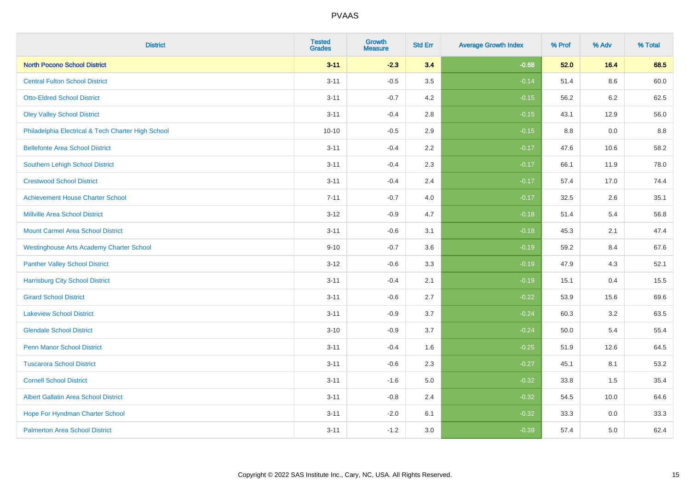| <b>District</b>                                    | <b>Tested</b><br><b>Grades</b> | <b>Growth</b><br><b>Measure</b> | <b>Std Err</b> | <b>Average Growth Index</b> | % Prof | % Adv   | % Total |
|----------------------------------------------------|--------------------------------|---------------------------------|----------------|-----------------------------|--------|---------|---------|
| <b>North Pocono School District</b>                | $3 - 11$                       | $-2.3$                          | 3.4            | $-0.68$                     | 52.0   | 16.4    | 68.5    |
| <b>Central Fulton School District</b>              | $3 - 11$                       | $-0.5$                          | 3.5            | $-0.14$                     | 51.4   | $8.6\,$ | 60.0    |
| <b>Otto-Eldred School District</b>                 | $3 - 11$                       | $-0.7$                          | 4.2            | $-0.15$                     | 56.2   | 6.2     | 62.5    |
| <b>Oley Valley School District</b>                 | $3 - 11$                       | $-0.4$                          | 2.8            | $-0.15$                     | 43.1   | 12.9    | 56.0    |
| Philadelphia Electrical & Tech Charter High School | $10 - 10$                      | $-0.5$                          | 2.9            | $-0.15$                     | 8.8    | 0.0     | 8.8     |
| <b>Bellefonte Area School District</b>             | $3 - 11$                       | $-0.4$                          | 2.2            | $-0.17$                     | 47.6   | 10.6    | 58.2    |
| Southern Lehigh School District                    | $3 - 11$                       | $-0.4$                          | 2.3            | $-0.17$                     | 66.1   | 11.9    | 78.0    |
| <b>Crestwood School District</b>                   | $3 - 11$                       | $-0.4$                          | 2.4            | $-0.17$                     | 57.4   | 17.0    | 74.4    |
| <b>Achievement House Charter School</b>            | $7 - 11$                       | $-0.7$                          | 4.0            | $-0.17$                     | 32.5   | 2.6     | 35.1    |
| <b>Millville Area School District</b>              | $3 - 12$                       | $-0.9$                          | 4.7            | $-0.18$                     | 51.4   | 5.4     | 56.8    |
| <b>Mount Carmel Area School District</b>           | $3 - 11$                       | $-0.6$                          | 3.1            | $-0.18$                     | 45.3   | 2.1     | 47.4    |
| <b>Westinghouse Arts Academy Charter School</b>    | $9 - 10$                       | $-0.7$                          | 3.6            | $-0.19$                     | 59.2   | 8.4     | 67.6    |
| <b>Panther Valley School District</b>              | $3-12$                         | $-0.6$                          | 3.3            | $-0.19$                     | 47.9   | 4.3     | 52.1    |
| <b>Harrisburg City School District</b>             | $3 - 11$                       | $-0.4$                          | 2.1            | $-0.19$                     | 15.1   | 0.4     | 15.5    |
| <b>Girard School District</b>                      | $3 - 11$                       | $-0.6$                          | 2.7            | $-0.22$                     | 53.9   | 15.6    | 69.6    |
| <b>Lakeview School District</b>                    | $3 - 11$                       | $-0.9$                          | 3.7            | $-0.24$                     | 60.3   | 3.2     | 63.5    |
| <b>Glendale School District</b>                    | $3 - 10$                       | $-0.9$                          | 3.7            | $-0.24$                     | 50.0   | 5.4     | 55.4    |
| <b>Penn Manor School District</b>                  | $3 - 11$                       | $-0.4$                          | 1.6            | $-0.25$                     | 51.9   | 12.6    | 64.5    |
| <b>Tuscarora School District</b>                   | $3 - 11$                       | $-0.6$                          | 2.3            | $-0.27$                     | 45.1   | 8.1     | 53.2    |
| <b>Cornell School District</b>                     | $3 - 11$                       | $-1.6$                          | 5.0            | $-0.32$                     | 33.8   | 1.5     | 35.4    |
| <b>Albert Gallatin Area School District</b>        | $3 - 11$                       | $-0.8$                          | 2.4            | $-0.32$                     | 54.5   | 10.0    | 64.6    |
| Hope For Hyndman Charter School                    | $3 - 11$                       | $-2.0$                          | 6.1            | $-0.32$                     | 33.3   | 0.0     | 33.3    |
| <b>Palmerton Area School District</b>              | $3 - 11$                       | $-1.2$                          | 3.0            | $-0.39$                     | 57.4   | 5.0     | 62.4    |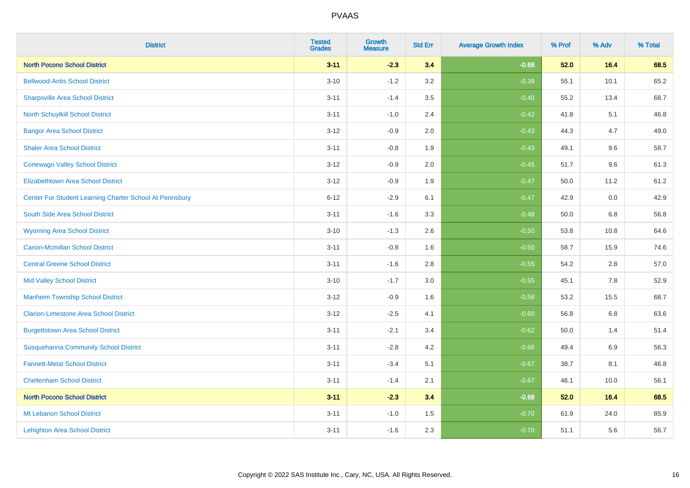| <b>District</b>                                         | <b>Tested</b><br><b>Grades</b> | <b>Growth</b><br><b>Measure</b> | <b>Std Err</b> | <b>Average Growth Index</b> | % Prof | % Adv   | % Total |
|---------------------------------------------------------|--------------------------------|---------------------------------|----------------|-----------------------------|--------|---------|---------|
| <b>North Pocono School District</b>                     | $3 - 11$                       | $-2.3$                          | 3.4            | $-0.68$                     | 52.0   | 16.4    | 68.5    |
| <b>Bellwood-Antis School District</b>                   | $3 - 10$                       | $-1.2$                          | 3.2            | $-0.39$                     | 55.1   | 10.1    | 65.2    |
| <b>Sharpsville Area School District</b>                 | $3 - 11$                       | $-1.4$                          | 3.5            | $-0.40$                     | 55.2   | 13.4    | 68.7    |
| <b>North Schuylkill School District</b>                 | $3 - 11$                       | $-1.0$                          | 2.4            | $-0.42$                     | 41.8   | 5.1     | 46.8    |
| <b>Bangor Area School District</b>                      | $3 - 12$                       | $-0.9$                          | 2.0            | $-0.43$                     | 44.3   | 4.7     | 49.0    |
| <b>Shaler Area School District</b>                      | $3 - 11$                       | $-0.8$                          | 1.9            | $-0.43$                     | 49.1   | 9.6     | 58.7    |
| <b>Conewago Valley School District</b>                  | $3 - 12$                       | $-0.9$                          | 2.0            | $-0.45$                     | 51.7   | 9.6     | 61.3    |
| <b>Elizabethtown Area School District</b>               | $3 - 12$                       | $-0.9$                          | 1.9            | $-0.47$                     | 50.0   | 11.2    | 61.2    |
| Center For Student Learning Charter School At Pennsbury | $6 - 12$                       | $-2.9$                          | 6.1            | $-0.47$                     | 42.9   | 0.0     | 42.9    |
| South Side Area School District                         | $3 - 11$                       | $-1.6$                          | 3.3            | $-0.48$                     | 50.0   | 6.8     | 56.8    |
| <b>Wyoming Area School District</b>                     | $3 - 10$                       | $-1.3$                          | 2.6            | $-0.50$                     | 53.8   | 10.8    | 64.6    |
| Canon-Mcmillan School District                          | $3 - 11$                       | $-0.8$                          | 1.6            | $-0.50$                     | 58.7   | 15.9    | 74.6    |
| <b>Central Greene School District</b>                   | $3 - 11$                       | $-1.6$                          | $2.8\,$        | $-0.55$                     | 54.2   | 2.8     | 57.0    |
| <b>Mid Valley School District</b>                       | $3 - 10$                       | $-1.7$                          | 3.0            | $-0.55$                     | 45.1   | 7.8     | 52.9    |
| <b>Manheim Township School District</b>                 | $3 - 12$                       | $-0.9$                          | 1.6            | $-0.58$                     | 53.2   | 15.5    | 68.7    |
| <b>Clarion-Limestone Area School District</b>           | $3 - 12$                       | $-2.5$                          | 4.1            | $-0.60$                     | 56.8   | $6.8\,$ | 63.6    |
| <b>Burgettstown Area School District</b>                | $3 - 11$                       | $-2.1$                          | 3.4            | $-0.62$                     | 50.0   | 1.4     | 51.4    |
| <b>Susquehanna Community School District</b>            | $3 - 11$                       | $-2.8$                          | 4.2            | $-0.66$                     | 49.4   | 6.9     | 56.3    |
| <b>Fannett-Metal School District</b>                    | $3 - 11$                       | $-3.4$                          | 5.1            | $-0.67$                     | 38.7   | 8.1     | 46.8    |
| <b>Cheltenham School District</b>                       | $3 - 11$                       | $-1.4$                          | 2.1            | $-0.67$                     | 46.1   | 10.0    | 56.1    |
| <b>North Pocono School District</b>                     | $3 - 11$                       | $-2.3$                          | 3.4            | $-0.68$                     | 52.0   | 16.4    | 68.5    |
| Mt Lebanon School District                              | $3 - 11$                       | $-1.0$                          | 1.5            | $-0.70$                     | 61.9   | 24.0    | 85.9    |
| <b>Lehighton Area School District</b>                   | $3 - 11$                       | $-1.6$                          | 2.3            | $-0.70$                     | 51.1   | 5.6     | 56.7    |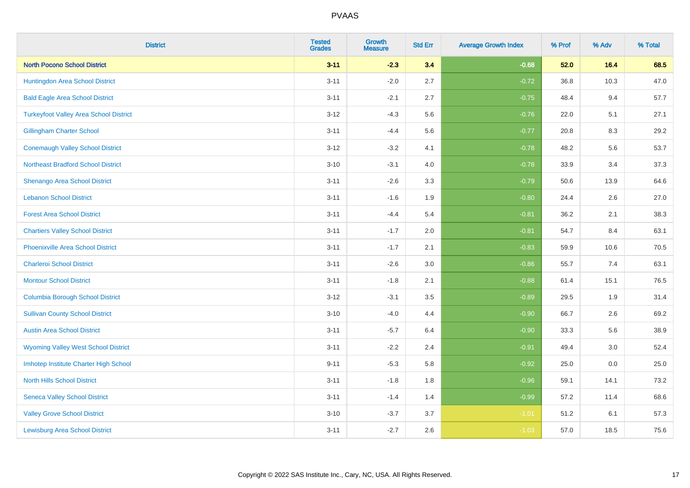| <b>District</b>                               | <b>Tested</b><br><b>Grades</b> | <b>Growth</b><br><b>Measure</b> | <b>Std Err</b> | <b>Average Growth Index</b> | % Prof | % Adv | % Total |
|-----------------------------------------------|--------------------------------|---------------------------------|----------------|-----------------------------|--------|-------|---------|
| <b>North Pocono School District</b>           | $3 - 11$                       | $-2.3$                          | 3.4            | $-0.68$                     | 52.0   | 16.4  | 68.5    |
| Huntingdon Area School District               | $3 - 11$                       | $-2.0$                          | 2.7            | $-0.72$                     | 36.8   | 10.3  | 47.0    |
| <b>Bald Eagle Area School District</b>        | $3 - 11$                       | $-2.1$                          | 2.7            | $-0.75$                     | 48.4   | 9.4   | 57.7    |
| <b>Turkeyfoot Valley Area School District</b> | $3 - 12$                       | $-4.3$                          | 5.6            | $-0.76$                     | 22.0   | 5.1   | 27.1    |
| <b>Gillingham Charter School</b>              | $3 - 11$                       | $-4.4$                          | 5.6            | $-0.77$                     | 20.8   | 8.3   | 29.2    |
| <b>Conemaugh Valley School District</b>       | $3 - 12$                       | $-3.2$                          | 4.1            | $-0.78$                     | 48.2   | 5.6   | 53.7    |
| <b>Northeast Bradford School District</b>     | $3 - 10$                       | $-3.1$                          | 4.0            | $-0.78$                     | 33.9   | 3.4   | 37.3    |
| Shenango Area School District                 | $3 - 11$                       | $-2.6$                          | 3.3            | $-0.79$                     | 50.6   | 13.9  | 64.6    |
| <b>Lebanon School District</b>                | $3 - 11$                       | $-1.6$                          | 1.9            | $-0.80$                     | 24.4   | 2.6   | 27.0    |
| <b>Forest Area School District</b>            | $3 - 11$                       | $-4.4$                          | 5.4            | $-0.81$                     | 36.2   | 2.1   | 38.3    |
| <b>Chartiers Valley School District</b>       | $3 - 11$                       | $-1.7$                          | 2.0            | $-0.81$                     | 54.7   | 8.4   | 63.1    |
| <b>Phoenixville Area School District</b>      | $3 - 11$                       | $-1.7$                          | 2.1            | $-0.83$                     | 59.9   | 10.6  | 70.5    |
| <b>Charleroi School District</b>              | $3 - 11$                       | $-2.6$                          | 3.0            | $-0.86$                     | 55.7   | 7.4   | 63.1    |
| <b>Montour School District</b>                | $3 - 11$                       | $-1.8$                          | 2.1            | $-0.88$                     | 61.4   | 15.1  | 76.5    |
| <b>Columbia Borough School District</b>       | $3-12$                         | $-3.1$                          | $3.5\,$        | $-0.89$                     | 29.5   | 1.9   | 31.4    |
| <b>Sullivan County School District</b>        | $3 - 10$                       | $-4.0$                          | 4.4            | $-0.90$                     | 66.7   | 2.6   | 69.2    |
| <b>Austin Area School District</b>            | $3 - 11$                       | $-5.7$                          | 6.4            | $-0.90$                     | 33.3   | 5.6   | 38.9    |
| <b>Wyoming Valley West School District</b>    | $3 - 11$                       | $-2.2$                          | 2.4            | $-0.91$                     | 49.4   | 3.0   | 52.4    |
| Imhotep Institute Charter High School         | $9 - 11$                       | $-5.3$                          | 5.8            | $-0.92$                     | 25.0   | 0.0   | 25.0    |
| <b>North Hills School District</b>            | $3 - 11$                       | $-1.8$                          | 1.8            | $-0.96$                     | 59.1   | 14.1  | 73.2    |
| <b>Seneca Valley School District</b>          | $3 - 11$                       | $-1.4$                          | 1.4            | $-0.99$                     | 57.2   | 11.4  | 68.6    |
| <b>Valley Grove School District</b>           | $3 - 10$                       | $-3.7$                          | 3.7            | $-1.01$                     | 51.2   | 6.1   | 57.3    |
| <b>Lewisburg Area School District</b>         | $3 - 11$                       | $-2.7$                          | 2.6            | $-1.03$                     | 57.0   | 18.5  | 75.6    |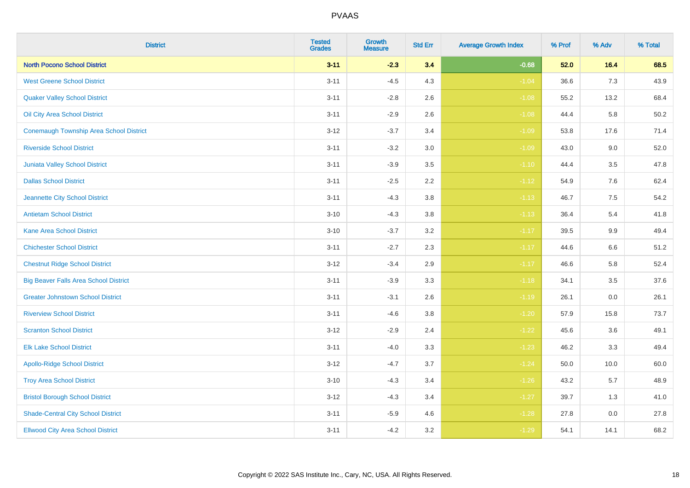| <b>District</b>                              | <b>Tested</b><br><b>Grades</b> | <b>Growth</b><br><b>Measure</b> | <b>Std Err</b> | <b>Average Growth Index</b> | % Prof | % Adv | % Total |
|----------------------------------------------|--------------------------------|---------------------------------|----------------|-----------------------------|--------|-------|---------|
| <b>North Pocono School District</b>          | $3 - 11$                       | $-2.3$                          | 3.4            | $-0.68$                     | 52.0   | 16.4  | 68.5    |
| <b>West Greene School District</b>           | $3 - 11$                       | $-4.5$                          | 4.3            | $-1.04$                     | 36.6   | 7.3   | 43.9    |
| <b>Quaker Valley School District</b>         | $3 - 11$                       | $-2.8$                          | 2.6            | $-1.08$                     | 55.2   | 13.2  | 68.4    |
| Oil City Area School District                | $3 - 11$                       | $-2.9$                          | 2.6            | $-1.08$                     | 44.4   | 5.8   | 50.2    |
| Conemaugh Township Area School District      | $3 - 12$                       | $-3.7$                          | 3.4            | $-1.09$                     | 53.8   | 17.6  | 71.4    |
| <b>Riverside School District</b>             | $3 - 11$                       | $-3.2$                          | 3.0            | $-1.09$                     | 43.0   | 9.0   | 52.0    |
| Juniata Valley School District               | $3 - 11$                       | $-3.9$                          | 3.5            | $-1.10$                     | 44.4   | 3.5   | 47.8    |
| <b>Dallas School District</b>                | $3 - 11$                       | $-2.5$                          | 2.2            | $-1.12$                     | 54.9   | 7.6   | 62.4    |
| Jeannette City School District               | $3 - 11$                       | $-4.3$                          | 3.8            | $-1.13$                     | 46.7   | 7.5   | 54.2    |
| <b>Antietam School District</b>              | $3 - 10$                       | $-4.3$                          | 3.8            | $-1.13$                     | 36.4   | 5.4   | 41.8    |
| <b>Kane Area School District</b>             | $3 - 10$                       | $-3.7$                          | 3.2            | $-1.17$                     | 39.5   | 9.9   | 49.4    |
| <b>Chichester School District</b>            | $3 - 11$                       | $-2.7$                          | 2.3            | $-1.17$                     | 44.6   | 6.6   | 51.2    |
| <b>Chestnut Ridge School District</b>        | $3 - 12$                       | $-3.4$                          | 2.9            | $-1.17$                     | 46.6   | 5.8   | 52.4    |
| <b>Big Beaver Falls Area School District</b> | $3 - 11$                       | $-3.9$                          | 3.3            | $-1.18$                     | 34.1   | 3.5   | 37.6    |
| <b>Greater Johnstown School District</b>     | $3 - 11$                       | $-3.1$                          | 2.6            | $-1.19$                     | 26.1   | 0.0   | 26.1    |
| <b>Riverview School District</b>             | $3 - 11$                       | $-4.6$                          | 3.8            | $-1.20$                     | 57.9   | 15.8  | 73.7    |
| <b>Scranton School District</b>              | $3 - 12$                       | $-2.9$                          | 2.4            | $-1.22$                     | 45.6   | 3.6   | 49.1    |
| <b>Elk Lake School District</b>              | $3 - 11$                       | $-4.0$                          | 3.3            | $-1.23$                     | 46.2   | 3.3   | 49.4    |
| <b>Apollo-Ridge School District</b>          | $3 - 12$                       | $-4.7$                          | 3.7            | $-1.24$                     | 50.0   | 10.0  | 60.0    |
| <b>Troy Area School District</b>             | $3 - 10$                       | $-4.3$                          | 3.4            | $-1.26$                     | 43.2   | 5.7   | 48.9    |
| <b>Bristol Borough School District</b>       | $3 - 12$                       | $-4.3$                          | 3.4            | $-1.27$                     | 39.7   | 1.3   | 41.0    |
| <b>Shade-Central City School District</b>    | $3 - 11$                       | $-5.9$                          | 4.6            | $-1.28$                     | 27.8   | 0.0   | 27.8    |
| <b>Ellwood City Area School District</b>     | $3 - 11$                       | $-4.2$                          | 3.2            | $-1.29$                     | 54.1   | 14.1  | 68.2    |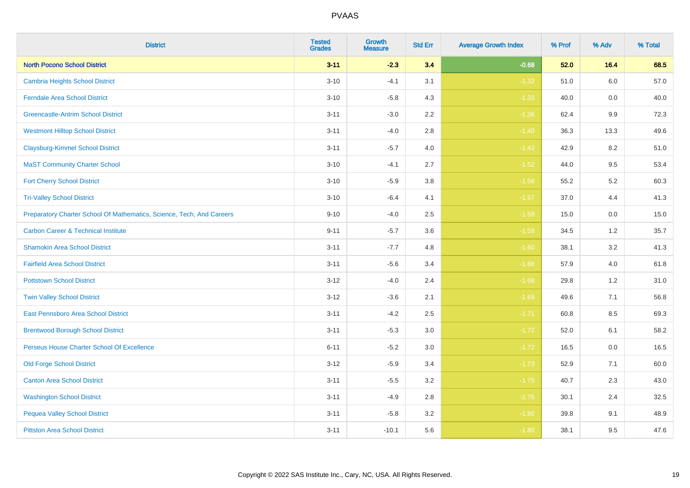| <b>District</b>                                                       | <b>Tested</b><br><b>Grades</b> | <b>Growth</b><br><b>Measure</b> | <b>Std Err</b> | <b>Average Growth Index</b> | % Prof | % Adv | % Total |
|-----------------------------------------------------------------------|--------------------------------|---------------------------------|----------------|-----------------------------|--------|-------|---------|
| <b>North Pocono School District</b>                                   | $3 - 11$                       | $-2.3$                          | 3.4            | $-0.68$                     | 52.0   | 16.4  | 68.5    |
| <b>Cambria Heights School District</b>                                | $3 - 10$                       | $-4.1$                          | 3.1            | $-1.32$                     | 51.0   | 6.0   | 57.0    |
| <b>Ferndale Area School District</b>                                  | $3 - 10$                       | $-5.8$                          | 4.3            | $-1.33$                     | 40.0   | 0.0   | 40.0    |
| <b>Greencastle-Antrim School District</b>                             | $3 - 11$                       | $-3.0$                          | 2.2            | $-1.36$                     | 62.4   | 9.9   | 72.3    |
| <b>Westmont Hilltop School District</b>                               | $3 - 11$                       | $-4.0$                          | 2.8            | $-1.40$                     | 36.3   | 13.3  | 49.6    |
| <b>Claysburg-Kimmel School District</b>                               | $3 - 11$                       | $-5.7$                          | 4.0            | $-1.42$                     | 42.9   | 8.2   | 51.0    |
| <b>MaST Community Charter School</b>                                  | $3 - 10$                       | $-4.1$                          | 2.7            | $-1.52$                     | 44.0   | 9.5   | 53.4    |
| <b>Fort Cherry School District</b>                                    | $3 - 10$                       | $-5.9$                          | 3.8            | $-1.56$                     | 55.2   | 5.2   | 60.3    |
| <b>Tri-Valley School District</b>                                     | $3 - 10$                       | $-6.4$                          | 4.1            | $-1.57$                     | 37.0   | 4.4   | 41.3    |
| Preparatory Charter School Of Mathematics, Science, Tech, And Careers | $9 - 10$                       | $-4.0$                          | 2.5            | $-1.59$                     | 15.0   | 0.0   | 15.0    |
| <b>Carbon Career &amp; Technical Institute</b>                        | $9 - 11$                       | $-5.7$                          | 3.6            | $-1.59$                     | 34.5   | $1.2$ | 35.7    |
| <b>Shamokin Area School District</b>                                  | $3 - 11$                       | $-7.7$                          | 4.8            | $-1.60$                     | 38.1   | 3.2   | 41.3    |
| <b>Fairfield Area School District</b>                                 | $3 - 11$                       | $-5.6$                          | 3.4            | $-1.66$                     | 57.9   | 4.0   | 61.8    |
| <b>Pottstown School District</b>                                      | $3 - 12$                       | $-4.0$                          | 2.4            | $-1.68$                     | 29.8   | 1.2   | 31.0    |
| <b>Twin Valley School District</b>                                    | $3 - 12$                       | $-3.6$                          | 2.1            | $-1.69$                     | 49.6   | 7.1   | 56.8    |
| <b>East Pennsboro Area School District</b>                            | $3 - 11$                       | $-4.2$                          | 2.5            | $-1.71$                     | 60.8   | 8.5   | 69.3    |
| <b>Brentwood Borough School District</b>                              | $3 - 11$                       | $-5.3$                          | 3.0            | $-1.72$                     | 52.0   | 6.1   | 58.2    |
| Perseus House Charter School Of Excellence                            | $6 - 11$                       | $-5.2$                          | 3.0            | $-1.72$                     | 16.5   | 0.0   | 16.5    |
| <b>Old Forge School District</b>                                      | $3 - 12$                       | $-5.9$                          | 3.4            | $-1.73$                     | 52.9   | 7.1   | 60.0    |
| <b>Canton Area School District</b>                                    | $3 - 11$                       | $-5.5$                          | 3.2            | $-1.75$                     | 40.7   | 2.3   | 43.0    |
| <b>Washington School District</b>                                     | $3 - 11$                       | $-4.9$                          | 2.8            | $-1.76$                     | 30.1   | 2.4   | 32.5    |
| <b>Pequea Valley School District</b>                                  | $3 - 11$                       | $-5.8$                          | 3.2            | $-1.80$                     | 39.8   | 9.1   | 48.9    |
| <b>Pittston Area School District</b>                                  | $3 - 11$                       | $-10.1$                         | 5.6            | $-1.80$                     | 38.1   | 9.5   | 47.6    |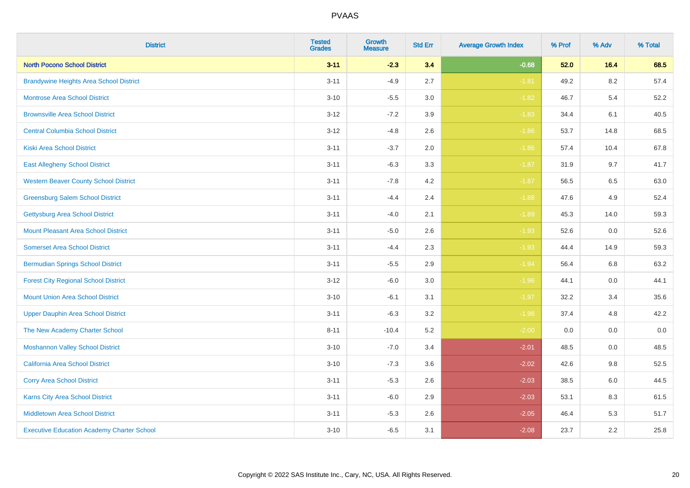| <b>District</b>                                   | <b>Tested</b><br><b>Grades</b> | <b>Growth</b><br><b>Measure</b> | <b>Std Err</b> | <b>Average Growth Index</b> | % Prof | % Adv   | % Total |
|---------------------------------------------------|--------------------------------|---------------------------------|----------------|-----------------------------|--------|---------|---------|
| <b>North Pocono School District</b>               | $3 - 11$                       | $-2.3$                          | 3.4            | $-0.68$                     | 52.0   | 16.4    | 68.5    |
| <b>Brandywine Heights Area School District</b>    | $3 - 11$                       | $-4.9$                          | 2.7            | $-1.81$                     | 49.2   | $8.2\,$ | 57.4    |
| <b>Montrose Area School District</b>              | $3 - 10$                       | $-5.5$                          | 3.0            | $-1.82$                     | 46.7   | 5.4     | 52.2    |
| <b>Brownsville Area School District</b>           | $3 - 12$                       | $-7.2$                          | 3.9            | $-1.83$                     | 34.4   | 6.1     | 40.5    |
| <b>Central Columbia School District</b>           | $3 - 12$                       | $-4.8$                          | 2.6            | $-1.86$                     | 53.7   | 14.8    | 68.5    |
| <b>Kiski Area School District</b>                 | $3 - 11$                       | $-3.7$                          | 2.0            | $-1.86$                     | 57.4   | 10.4    | 67.8    |
| <b>East Allegheny School District</b>             | $3 - 11$                       | $-6.3$                          | 3.3            | $-1.87$                     | 31.9   | 9.7     | 41.7    |
| <b>Western Beaver County School District</b>      | $3 - 11$                       | $-7.8$                          | 4.2            | $-1.87$                     | 56.5   | 6.5     | 63.0    |
| <b>Greensburg Salem School District</b>           | $3 - 11$                       | $-4.4$                          | 2.4            | $-1.88$                     | 47.6   | 4.9     | 52.4    |
| Gettysburg Area School District                   | $3 - 11$                       | $-4.0$                          | 2.1            | $-1.89$                     | 45.3   | 14.0    | 59.3    |
| <b>Mount Pleasant Area School District</b>        | $3 - 11$                       | $-5.0$                          | 2.6            | $-1.93$                     | 52.6   | 0.0     | 52.6    |
| <b>Somerset Area School District</b>              | $3 - 11$                       | $-4.4$                          | 2.3            | $-1.93$                     | 44.4   | 14.9    | 59.3    |
| <b>Bermudian Springs School District</b>          | $3 - 11$                       | $-5.5$                          | 2.9            | $-1.94$                     | 56.4   | $6.8\,$ | 63.2    |
| <b>Forest City Regional School District</b>       | $3 - 12$                       | $-6.0$                          | 3.0            | $-1.96$                     | 44.1   | 0.0     | 44.1    |
| <b>Mount Union Area School District</b>           | $3 - 10$                       | $-6.1$                          | 3.1            | $-1.97$                     | 32.2   | 3.4     | 35.6    |
| <b>Upper Dauphin Area School District</b>         | $3 - 11$                       | $-6.3$                          | 3.2            | $-1.98$                     | 37.4   | 4.8     | 42.2    |
| The New Academy Charter School                    | $8 - 11$                       | $-10.4$                         | 5.2            | $-2.00$                     | 0.0    | 0.0     | 0.0     |
| <b>Moshannon Valley School District</b>           | $3 - 10$                       | $-7.0$                          | 3.4            | $-2.01$                     | 48.5   | 0.0     | 48.5    |
| <b>California Area School District</b>            | $3 - 10$                       | $-7.3$                          | 3.6            | $-2.02$                     | 42.6   | 9.8     | 52.5    |
| <b>Corry Area School District</b>                 | $3 - 11$                       | $-5.3$                          | 2.6            | $-2.03$                     | 38.5   | $6.0\,$ | 44.5    |
| Karns City Area School District                   | $3 - 11$                       | $-6.0$                          | 2.9            | $-2.03$                     | 53.1   | 8.3     | 61.5    |
| <b>Middletown Area School District</b>            | $3 - 11$                       | $-5.3$                          | 2.6            | $-2.05$                     | 46.4   | 5.3     | 51.7    |
| <b>Executive Education Academy Charter School</b> | $3 - 10$                       | $-6.5$                          | 3.1            | $-2.08$                     | 23.7   | 2.2     | 25.8    |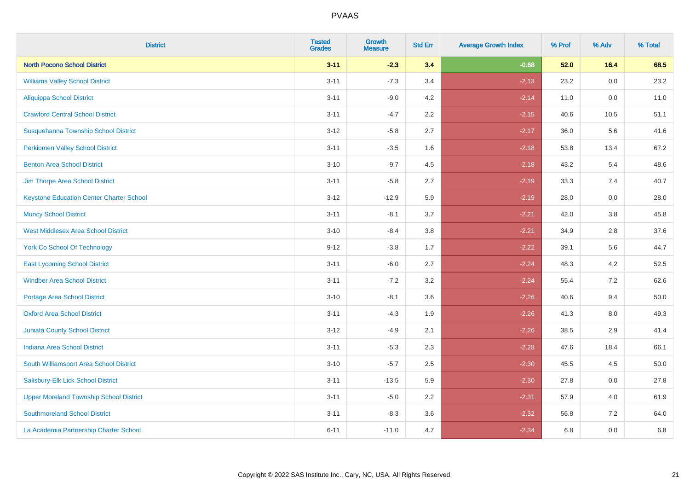| <b>District</b>                                 | <b>Tested</b><br><b>Grades</b> | <b>Growth</b><br><b>Measure</b> | <b>Std Err</b> | <b>Average Growth Index</b> | % Prof | % Adv   | % Total |
|-------------------------------------------------|--------------------------------|---------------------------------|----------------|-----------------------------|--------|---------|---------|
| <b>North Pocono School District</b>             | $3 - 11$                       | $-2.3$                          | 3.4            | $-0.68$                     | 52.0   | 16.4    | 68.5    |
| <b>Williams Valley School District</b>          | $3 - 11$                       | $-7.3$                          | 3.4            | $-2.13$                     | 23.2   | 0.0     | 23.2    |
| <b>Aliquippa School District</b>                | $3 - 11$                       | $-9.0$                          | 4.2            | $-2.14$                     | 11.0   | 0.0     | 11.0    |
| <b>Crawford Central School District</b>         | $3 - 11$                       | $-4.7$                          | 2.2            | $-2.15$                     | 40.6   | 10.5    | 51.1    |
| Susquehanna Township School District            | $3 - 12$                       | $-5.8$                          | 2.7            | $-2.17$                     | 36.0   | 5.6     | 41.6    |
| <b>Perkiomen Valley School District</b>         | $3 - 11$                       | $-3.5$                          | 1.6            | $-2.18$                     | 53.8   | 13.4    | 67.2    |
| <b>Benton Area School District</b>              | $3 - 10$                       | $-9.7$                          | 4.5            | $-2.18$                     | 43.2   | 5.4     | 48.6    |
| Jim Thorpe Area School District                 | $3 - 11$                       | $-5.8$                          | 2.7            | $-2.19$                     | 33.3   | 7.4     | 40.7    |
| <b>Keystone Education Center Charter School</b> | $3 - 12$                       | $-12.9$                         | 5.9            | $-2.19$                     | 28.0   | 0.0     | 28.0    |
| <b>Muncy School District</b>                    | $3 - 11$                       | $-8.1$                          | 3.7            | $-2.21$                     | 42.0   | 3.8     | 45.8    |
| <b>West Middlesex Area School District</b>      | $3 - 10$                       | $-8.4$                          | 3.8            | $-2.21$                     | 34.9   | 2.8     | 37.6    |
| <b>York Co School Of Technology</b>             | $9 - 12$                       | $-3.8$                          | 1.7            | $-2.22$                     | 39.1   | 5.6     | 44.7    |
| <b>East Lycoming School District</b>            | $3 - 11$                       | $-6.0$                          | 2.7            | $-2.24$                     | 48.3   | 4.2     | 52.5    |
| <b>Windber Area School District</b>             | $3 - 11$                       | $-7.2$                          | 3.2            | $-2.24$                     | 55.4   | 7.2     | 62.6    |
| <b>Portage Area School District</b>             | $3 - 10$                       | $-8.1$                          | 3.6            | $-2.26$                     | 40.6   | 9.4     | 50.0    |
| <b>Oxford Area School District</b>              | $3 - 11$                       | $-4.3$                          | 1.9            | $-2.26$                     | 41.3   | $8.0\,$ | 49.3    |
| <b>Juniata County School District</b>           | $3 - 12$                       | $-4.9$                          | 2.1            | $-2.26$                     | 38.5   | 2.9     | 41.4    |
| <b>Indiana Area School District</b>             | $3 - 11$                       | $-5.3$                          | 2.3            | $-2.28$                     | 47.6   | 18.4    | 66.1    |
| South Williamsport Area School District         | $3 - 10$                       | $-5.7$                          | 2.5            | $-2.30$                     | 45.5   | 4.5     | 50.0    |
| Salisbury-Elk Lick School District              | $3 - 11$                       | $-13.5$                         | 5.9            | $-2.30$                     | 27.8   | 0.0     | 27.8    |
| <b>Upper Moreland Township School District</b>  | $3 - 11$                       | $-5.0$                          | 2.2            | $-2.31$                     | 57.9   | 4.0     | 61.9    |
| <b>Southmoreland School District</b>            | $3 - 11$                       | $-8.3$                          | 3.6            | $-2.32$                     | 56.8   | 7.2     | 64.0    |
| La Academia Partnership Charter School          | $6 - 11$                       | $-11.0$                         | 4.7            | $-2.34$                     | 6.8    | 0.0     | 6.8     |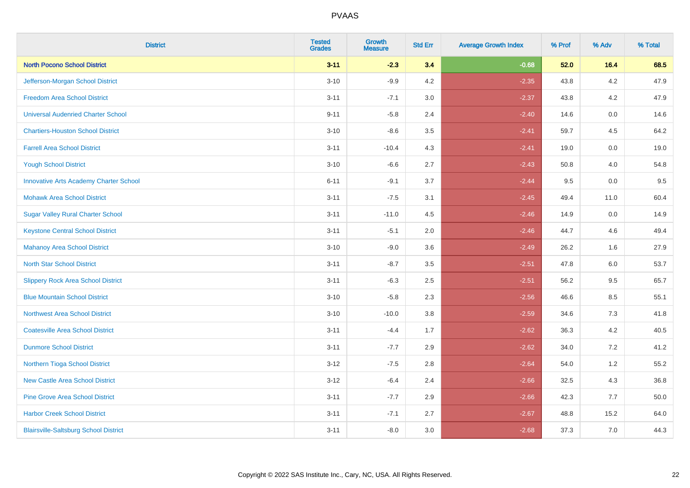| <b>District</b>                               | <b>Tested</b><br><b>Grades</b> | <b>Growth</b><br><b>Measure</b> | <b>Std Err</b> | <b>Average Growth Index</b> | % Prof | % Adv   | % Total |
|-----------------------------------------------|--------------------------------|---------------------------------|----------------|-----------------------------|--------|---------|---------|
| <b>North Pocono School District</b>           | $3 - 11$                       | $-2.3$                          | 3.4            | $-0.68$                     | 52.0   | 16.4    | 68.5    |
| Jefferson-Morgan School District              | $3 - 10$                       | $-9.9$                          | 4.2            | $-2.35$                     | 43.8   | 4.2     | 47.9    |
| <b>Freedom Area School District</b>           | $3 - 11$                       | $-7.1$                          | 3.0            | $-2.37$                     | 43.8   | 4.2     | 47.9    |
| <b>Universal Audenried Charter School</b>     | $9 - 11$                       | $-5.8$                          | 2.4            | $-2.40$                     | 14.6   | $0.0\,$ | 14.6    |
| <b>Chartiers-Houston School District</b>      | $3 - 10$                       | $-8.6$                          | 3.5            | $-2.41$                     | 59.7   | 4.5     | 64.2    |
| <b>Farrell Area School District</b>           | $3 - 11$                       | $-10.4$                         | 4.3            | $-2.41$                     | 19.0   | 0.0     | 19.0    |
| <b>Yough School District</b>                  | $3 - 10$                       | $-6.6$                          | 2.7            | $-2.43$                     | 50.8   | 4.0     | 54.8    |
| <b>Innovative Arts Academy Charter School</b> | $6 - 11$                       | $-9.1$                          | 3.7            | $-2.44$                     | 9.5    | 0.0     | 9.5     |
| <b>Mohawk Area School District</b>            | $3 - 11$                       | $-7.5$                          | 3.1            | $-2.45$                     | 49.4   | 11.0    | 60.4    |
| <b>Sugar Valley Rural Charter School</b>      | $3 - 11$                       | $-11.0$                         | 4.5            | $-2.46$                     | 14.9   | 0.0     | 14.9    |
| <b>Keystone Central School District</b>       | $3 - 11$                       | $-5.1$                          | 2.0            | $-2.46$                     | 44.7   | 4.6     | 49.4    |
| <b>Mahanoy Area School District</b>           | $3 - 10$                       | $-9.0$                          | 3.6            | $-2.49$                     | 26.2   | 1.6     | 27.9    |
| <b>North Star School District</b>             | $3 - 11$                       | $-8.7$                          | $3.5\,$        | $-2.51$                     | 47.8   | 6.0     | 53.7    |
| <b>Slippery Rock Area School District</b>     | $3 - 11$                       | $-6.3$                          | 2.5            | $-2.51$                     | 56.2   | 9.5     | 65.7    |
| <b>Blue Mountain School District</b>          | $3 - 10$                       | $-5.8$                          | 2.3            | $-2.56$                     | 46.6   | 8.5     | 55.1    |
| <b>Northwest Area School District</b>         | $3 - 10$                       | $-10.0$                         | $3.8\,$        | $-2.59$                     | 34.6   | $7.3$   | 41.8    |
| <b>Coatesville Area School District</b>       | $3 - 11$                       | $-4.4$                          | 1.7            | $-2.62$                     | 36.3   | 4.2     | 40.5    |
| <b>Dunmore School District</b>                | $3 - 11$                       | $-7.7$                          | 2.9            | $-2.62$                     | 34.0   | 7.2     | 41.2    |
| Northern Tioga School District                | $3 - 12$                       | $-7.5$                          | 2.8            | $-2.64$                     | 54.0   | 1.2     | 55.2    |
| <b>New Castle Area School District</b>        | $3 - 12$                       | $-6.4$                          | 2.4            | $-2.66$                     | 32.5   | 4.3     | 36.8    |
| <b>Pine Grove Area School District</b>        | $3 - 11$                       | $-7.7$                          | 2.9            | $-2.66$                     | 42.3   | 7.7     | 50.0    |
| <b>Harbor Creek School District</b>           | $3 - 11$                       | $-7.1$                          | 2.7            | $-2.67$                     | 48.8   | 15.2    | 64.0    |
| <b>Blairsville-Saltsburg School District</b>  | $3 - 11$                       | $-8.0$                          | 3.0            | $-2.68$                     | 37.3   | 7.0     | 44.3    |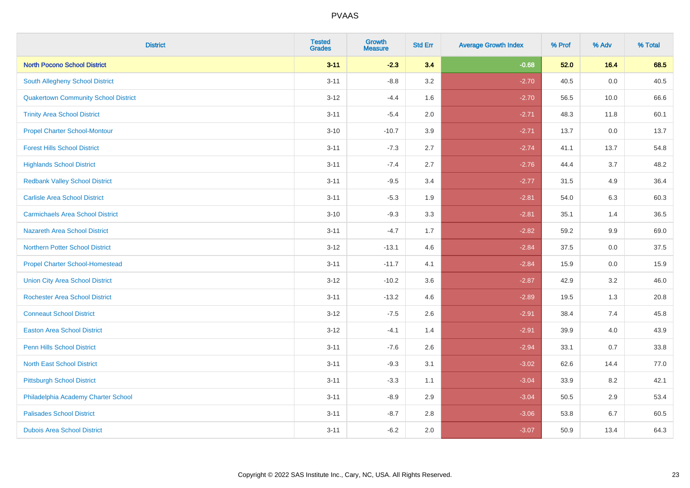| <b>District</b>                             | <b>Tested</b><br><b>Grades</b> | <b>Growth</b><br><b>Measure</b> | <b>Std Err</b> | <b>Average Growth Index</b> | % Prof | % Adv | % Total |
|---------------------------------------------|--------------------------------|---------------------------------|----------------|-----------------------------|--------|-------|---------|
| <b>North Pocono School District</b>         | $3 - 11$                       | $-2.3$                          | 3.4            | $-0.68$                     | 52.0   | 16.4  | 68.5    |
| South Allegheny School District             | $3 - 11$                       | $-8.8$                          | 3.2            | $-2.70$                     | 40.5   | 0.0   | 40.5    |
| <b>Quakertown Community School District</b> | $3-12$                         | $-4.4$                          | 1.6            | $-2.70$                     | 56.5   | 10.0  | 66.6    |
| <b>Trinity Area School District</b>         | $3 - 11$                       | $-5.4$                          | 2.0            | $-2.71$                     | 48.3   | 11.8  | 60.1    |
| <b>Propel Charter School-Montour</b>        | $3 - 10$                       | $-10.7$                         | 3.9            | $-2.71$                     | 13.7   | 0.0   | 13.7    |
| <b>Forest Hills School District</b>         | $3 - 11$                       | $-7.3$                          | 2.7            | $-2.74$                     | 41.1   | 13.7  | 54.8    |
| <b>Highlands School District</b>            | $3 - 11$                       | $-7.4$                          | 2.7            | $-2.76$                     | 44.4   | 3.7   | 48.2    |
| <b>Redbank Valley School District</b>       | $3 - 11$                       | $-9.5$                          | 3.4            | $-2.77$                     | 31.5   | 4.9   | 36.4    |
| <b>Carlisle Area School District</b>        | $3 - 11$                       | $-5.3$                          | 1.9            | $-2.81$                     | 54.0   | 6.3   | 60.3    |
| <b>Carmichaels Area School District</b>     | $3 - 10$                       | $-9.3$                          | 3.3            | $-2.81$                     | 35.1   | 1.4   | 36.5    |
| Nazareth Area School District               | $3 - 11$                       | $-4.7$                          | 1.7            | $-2.82$                     | 59.2   | 9.9   | 69.0    |
| <b>Northern Potter School District</b>      | $3 - 12$                       | $-13.1$                         | 4.6            | $-2.84$                     | 37.5   | 0.0   | 37.5    |
| <b>Propel Charter School-Homestead</b>      | $3 - 11$                       | $-11.7$                         | 4.1            | $-2.84$                     | 15.9   | 0.0   | 15.9    |
| <b>Union City Area School District</b>      | $3-12$                         | $-10.2$                         | 3.6            | $-2.87$                     | 42.9   | 3.2   | 46.0    |
| <b>Rochester Area School District</b>       | $3 - 11$                       | $-13.2$                         | 4.6            | $-2.89$                     | 19.5   | 1.3   | 20.8    |
| <b>Conneaut School District</b>             | $3 - 12$                       | $-7.5$                          | 2.6            | $-2.91$                     | 38.4   | 7.4   | 45.8    |
| <b>Easton Area School District</b>          | $3 - 12$                       | $-4.1$                          | 1.4            | $-2.91$                     | 39.9   | 4.0   | 43.9    |
| <b>Penn Hills School District</b>           | $3 - 11$                       | $-7.6$                          | 2.6            | $-2.94$                     | 33.1   | 0.7   | 33.8    |
| <b>North East School District</b>           | $3 - 11$                       | $-9.3$                          | 3.1            | $-3.02$                     | 62.6   | 14.4  | 77.0    |
| <b>Pittsburgh School District</b>           | $3 - 11$                       | $-3.3$                          | 1.1            | $-3.04$                     | 33.9   | 8.2   | 42.1    |
| Philadelphia Academy Charter School         | $3 - 11$                       | $-8.9$                          | 2.9            | $-3.04$                     | 50.5   | 2.9   | 53.4    |
| <b>Palisades School District</b>            | $3 - 11$                       | $-8.7$                          | 2.8            | $-3.06$                     | 53.8   | 6.7   | 60.5    |
| <b>Dubois Area School District</b>          | $3 - 11$                       | $-6.2$                          | 2.0            | $-3.07$                     | 50.9   | 13.4  | 64.3    |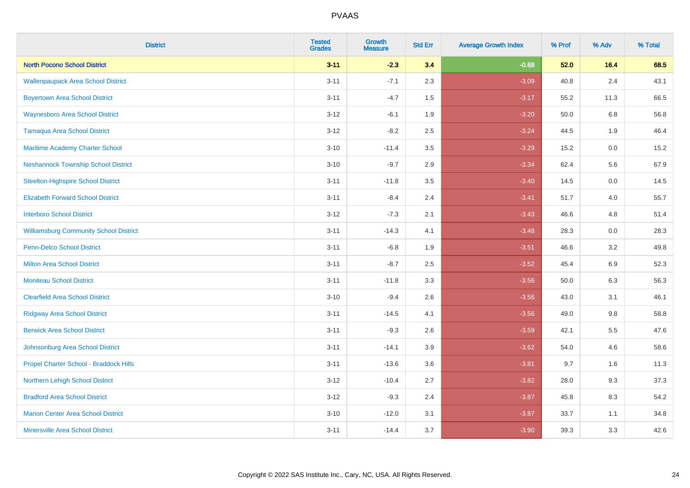| <b>District</b>                               | <b>Tested</b><br><b>Grades</b> | <b>Growth</b><br><b>Measure</b> | <b>Std Err</b> | <b>Average Growth Index</b> | % Prof | % Adv   | % Total |
|-----------------------------------------------|--------------------------------|---------------------------------|----------------|-----------------------------|--------|---------|---------|
| <b>North Pocono School District</b>           | $3 - 11$                       | $-2.3$                          | 3.4            | $-0.68$                     | 52.0   | 16.4    | 68.5    |
| <b>Wallenpaupack Area School District</b>     | $3 - 11$                       | $-7.1$                          | 2.3            | $-3.09$                     | 40.8   | $2.4\,$ | 43.1    |
| <b>Boyertown Area School District</b>         | $3 - 11$                       | $-4.7$                          | 1.5            | $-3.17$                     | 55.2   | 11.3    | 66.5    |
| <b>Waynesboro Area School District</b>        | $3 - 12$                       | $-6.1$                          | 1.9            | $-3.20$                     | 50.0   | 6.8     | 56.8    |
| <b>Tamaqua Area School District</b>           | $3 - 12$                       | $-8.2$                          | 2.5            | $-3.24$                     | 44.5   | 1.9     | 46.4    |
| Maritime Academy Charter School               | $3 - 10$                       | $-11.4$                         | 3.5            | $-3.29$                     | 15.2   | 0.0     | 15.2    |
| <b>Neshannock Township School District</b>    | $3 - 10$                       | $-9.7$                          | 2.9            | $-3.34$                     | 62.4   | 5.6     | 67.9    |
| <b>Steelton-Highspire School District</b>     | $3 - 11$                       | $-11.8$                         | 3.5            | $-3.40$                     | 14.5   | 0.0     | 14.5    |
| <b>Elizabeth Forward School District</b>      | $3 - 11$                       | $-8.4$                          | 2.4            | $-3.41$                     | 51.7   | 4.0     | 55.7    |
| <b>Interboro School District</b>              | $3 - 12$                       | $-7.3$                          | 2.1            | $-3.43$                     | 46.6   | 4.8     | 51.4    |
| <b>Williamsburg Community School District</b> | $3 - 11$                       | $-14.3$                         | 4.1            | $-3.48$                     | 28.3   | 0.0     | 28.3    |
| Penn-Delco School District                    | $3 - 11$                       | $-6.8$                          | 1.9            | $-3.51$                     | 46.6   | 3.2     | 49.8    |
| <b>Milton Area School District</b>            | $3 - 11$                       | $-8.7$                          | 2.5            | $-3.52$                     | 45.4   | 6.9     | 52.3    |
| <b>Moniteau School District</b>               | $3 - 11$                       | $-11.8$                         | 3.3            | $-3.56$                     | 50.0   | 6.3     | 56.3    |
| <b>Clearfield Area School District</b>        | $3 - 10$                       | $-9.4$                          | 2.6            | $-3.56$                     | 43.0   | 3.1     | 46.1    |
| <b>Ridgway Area School District</b>           | $3 - 11$                       | $-14.5$                         | 4.1            | $-3.56$                     | 49.0   | $9.8\,$ | 58.8    |
| <b>Berwick Area School District</b>           | $3 - 11$                       | $-9.3$                          | 2.6            | $-3.59$                     | 42.1   | 5.5     | 47.6    |
| Johnsonburg Area School District              | $3 - 11$                       | $-14.1$                         | 3.9            | $-3.62$                     | 54.0   | 4.6     | 58.6    |
| Propel Charter School - Braddock Hills        | $3 - 11$                       | $-13.6$                         | 3.6            | $-3.81$                     | 9.7    | 1.6     | 11.3    |
| <b>Northern Lehigh School District</b>        | $3 - 12$                       | $-10.4$                         | 2.7            | $-3.82$                     | 28.0   | 9.3     | 37.3    |
| <b>Bradford Area School District</b>          | $3-12$                         | $-9.3$                          | 2.4            | $-3.87$                     | 45.8   | 8.3     | 54.2    |
| <b>Marion Center Area School District</b>     | $3 - 10$                       | $-12.0$                         | 3.1            | $-3.87$                     | 33.7   | 1.1     | 34.8    |
| <b>Minersville Area School District</b>       | $3 - 11$                       | $-14.4$                         | 3.7            | $-3.90$                     | 39.3   | 3.3     | 42.6    |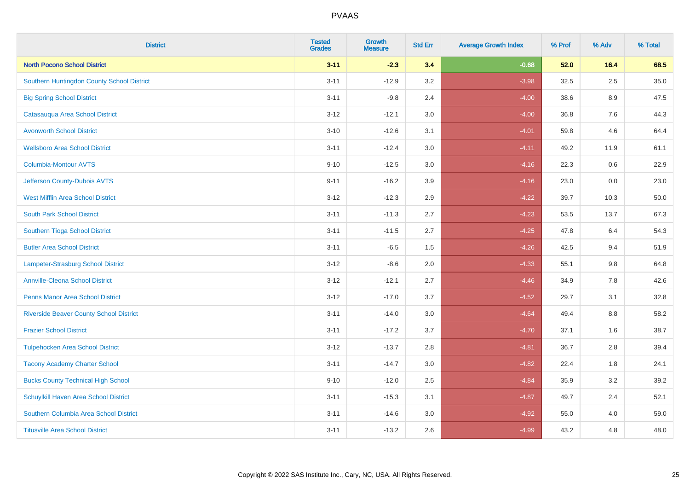| <b>District</b>                                | <b>Tested</b><br><b>Grades</b> | Growth<br><b>Measure</b> | <b>Std Err</b> | <b>Average Growth Index</b> | % Prof | % Adv   | % Total |
|------------------------------------------------|--------------------------------|--------------------------|----------------|-----------------------------|--------|---------|---------|
| <b>North Pocono School District</b>            | $3 - 11$                       | $-2.3$                   | 3.4            | $-0.68$                     | 52.0   | 16.4    | 68.5    |
| Southern Huntingdon County School District     | $3 - 11$                       | $-12.9$                  | 3.2            | $-3.98$                     | 32.5   | 2.5     | 35.0    |
| <b>Big Spring School District</b>              | $3 - 11$                       | $-9.8$                   | 2.4            | $-4.00$                     | 38.6   | 8.9     | 47.5    |
| Catasauqua Area School District                | $3 - 12$                       | $-12.1$                  | 3.0            | $-4.00$                     | 36.8   | $7.6\,$ | 44.3    |
| <b>Avonworth School District</b>               | $3 - 10$                       | $-12.6$                  | 3.1            | $-4.01$                     | 59.8   | 4.6     | 64.4    |
| <b>Wellsboro Area School District</b>          | $3 - 11$                       | $-12.4$                  | 3.0            | $-4.11$                     | 49.2   | 11.9    | 61.1    |
| Columbia-Montour AVTS                          | $9 - 10$                       | $-12.5$                  | 3.0            | $-4.16$                     | 22.3   | 0.6     | 22.9    |
| Jefferson County-Dubois AVTS                   | $9 - 11$                       | $-16.2$                  | 3.9            | $-4.16$                     | 23.0   | 0.0     | 23.0    |
| <b>West Mifflin Area School District</b>       | $3 - 12$                       | $-12.3$                  | 2.9            | $-4.22$                     | 39.7   | 10.3    | 50.0    |
| <b>South Park School District</b>              | $3 - 11$                       | $-11.3$                  | 2.7            | $-4.23$                     | 53.5   | 13.7    | 67.3    |
| Southern Tioga School District                 | $3 - 11$                       | $-11.5$                  | 2.7            | $-4.25$                     | 47.8   | 6.4     | 54.3    |
| <b>Butler Area School District</b>             | $3 - 11$                       | $-6.5$                   | 1.5            | $-4.26$                     | 42.5   | 9.4     | 51.9    |
| Lampeter-Strasburg School District             | $3 - 12$                       | $-8.6$                   | 2.0            | $-4.33$                     | 55.1   | 9.8     | 64.8    |
| <b>Annville-Cleona School District</b>         | $3 - 12$                       | $-12.1$                  | 2.7            | $-4.46$                     | 34.9   | $7.8\,$ | 42.6    |
| <b>Penns Manor Area School District</b>        | $3 - 12$                       | $-17.0$                  | 3.7            | $-4.52$                     | 29.7   | 3.1     | 32.8    |
| <b>Riverside Beaver County School District</b> | $3 - 11$                       | $-14.0$                  | 3.0            | $-4.64$                     | 49.4   | 8.8     | 58.2    |
| <b>Frazier School District</b>                 | $3 - 11$                       | $-17.2$                  | 3.7            | $-4.70$                     | 37.1   | 1.6     | 38.7    |
| <b>Tulpehocken Area School District</b>        | $3 - 12$                       | $-13.7$                  | 2.8            | $-4.81$                     | 36.7   | 2.8     | 39.4    |
| <b>Tacony Academy Charter School</b>           | $3 - 11$                       | $-14.7$                  | 3.0            | $-4.82$                     | 22.4   | 1.8     | 24.1    |
| <b>Bucks County Technical High School</b>      | $9 - 10$                       | $-12.0$                  | 2.5            | $-4.84$                     | 35.9   | 3.2     | 39.2    |
| Schuylkill Haven Area School District          | $3 - 11$                       | $-15.3$                  | 3.1            | $-4.87$                     | 49.7   | 2.4     | 52.1    |
| Southern Columbia Area School District         | $3 - 11$                       | $-14.6$                  | 3.0            | $-4.92$                     | 55.0   | 4.0     | 59.0    |
| <b>Titusville Area School District</b>         | $3 - 11$                       | $-13.2$                  | 2.6            | $-4.99$                     | 43.2   | 4.8     | 48.0    |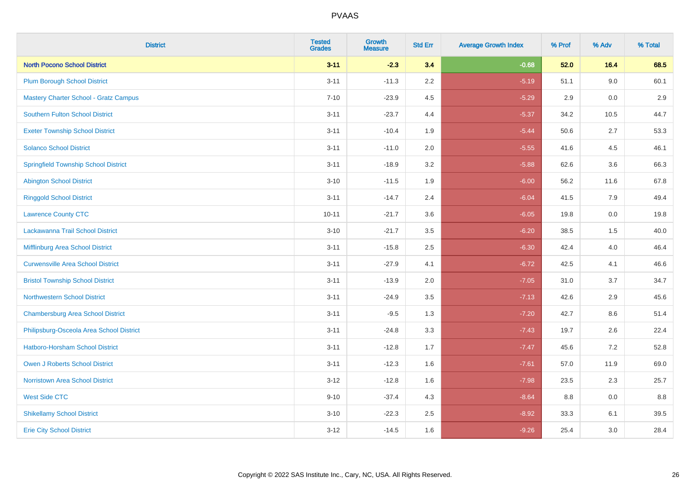| <b>District</b>                              | <b>Tested</b><br><b>Grades</b> | <b>Growth</b><br><b>Measure</b> | <b>Std Err</b> | <b>Average Growth Index</b> | % Prof | % Adv   | % Total |
|----------------------------------------------|--------------------------------|---------------------------------|----------------|-----------------------------|--------|---------|---------|
| <b>North Pocono School District</b>          | $3 - 11$                       | $-2.3$                          | 3.4            | $-0.68$                     | 52.0   | 16.4    | 68.5    |
| <b>Plum Borough School District</b>          | $3 - 11$                       | $-11.3$                         | 2.2            | $-5.19$                     | 51.1   | 9.0     | 60.1    |
| <b>Mastery Charter School - Gratz Campus</b> | $7 - 10$                       | $-23.9$                         | 4.5            | $-5.29$                     | 2.9    | 0.0     | 2.9     |
| <b>Southern Fulton School District</b>       | $3 - 11$                       | $-23.7$                         | 4.4            | $-5.37$                     | 34.2   | 10.5    | 44.7    |
| <b>Exeter Township School District</b>       | $3 - 11$                       | $-10.4$                         | 1.9            | $-5.44$                     | 50.6   | 2.7     | 53.3    |
| <b>Solanco School District</b>               | $3 - 11$                       | $-11.0$                         | 2.0            | $-5.55$                     | 41.6   | 4.5     | 46.1    |
| <b>Springfield Township School District</b>  | $3 - 11$                       | $-18.9$                         | 3.2            | $-5.88$                     | 62.6   | 3.6     | 66.3    |
| <b>Abington School District</b>              | $3 - 10$                       | $-11.5$                         | 1.9            | $-6.00$                     | 56.2   | 11.6    | 67.8    |
| <b>Ringgold School District</b>              | $3 - 11$                       | $-14.7$                         | 2.4            | $-6.04$                     | 41.5   | 7.9     | 49.4    |
| <b>Lawrence County CTC</b>                   | $10 - 11$                      | $-21.7$                         | 3.6            | $-6.05$                     | 19.8   | 0.0     | 19.8    |
| Lackawanna Trail School District             | $3 - 10$                       | $-21.7$                         | 3.5            | $-6.20$                     | 38.5   | 1.5     | 40.0    |
| Mifflinburg Area School District             | $3 - 11$                       | $-15.8$                         | 2.5            | $-6.30$                     | 42.4   | 4.0     | 46.4    |
| <b>Curwensville Area School District</b>     | $3 - 11$                       | $-27.9$                         | 4.1            | $-6.72$                     | 42.5   | 4.1     | 46.6    |
| <b>Bristol Township School District</b>      | $3 - 11$                       | $-13.9$                         | 2.0            | $-7.05$                     | 31.0   | 3.7     | 34.7    |
| <b>Northwestern School District</b>          | $3 - 11$                       | $-24.9$                         | 3.5            | $-7.13$                     | 42.6   | 2.9     | 45.6    |
| <b>Chambersburg Area School District</b>     | $3 - 11$                       | $-9.5$                          | 1.3            | $-7.20$                     | 42.7   | $8.6\,$ | 51.4    |
| Philipsburg-Osceola Area School District     | $3 - 11$                       | $-24.8$                         | 3.3            | $-7.43$                     | 19.7   | 2.6     | 22.4    |
| Hatboro-Horsham School District              | $3 - 11$                       | $-12.8$                         | 1.7            | $-7.47$                     | 45.6   | 7.2     | 52.8    |
| <b>Owen J Roberts School District</b>        | $3 - 11$                       | $-12.3$                         | 1.6            | $-7.61$                     | 57.0   | 11.9    | 69.0    |
| <b>Norristown Area School District</b>       | $3 - 12$                       | $-12.8$                         | 1.6            | $-7.98$                     | 23.5   | 2.3     | 25.7    |
| <b>West Side CTC</b>                         | $9 - 10$                       | $-37.4$                         | 4.3            | $-8.64$                     | 8.8    | 0.0     | 8.8     |
| <b>Shikellamy School District</b>            | $3 - 10$                       | $-22.3$                         | 2.5            | $-8.92$                     | 33.3   | 6.1     | 39.5    |
| <b>Erie City School District</b>             | $3 - 12$                       | $-14.5$                         | 1.6            | $-9.26$                     | 25.4   | 3.0     | 28.4    |